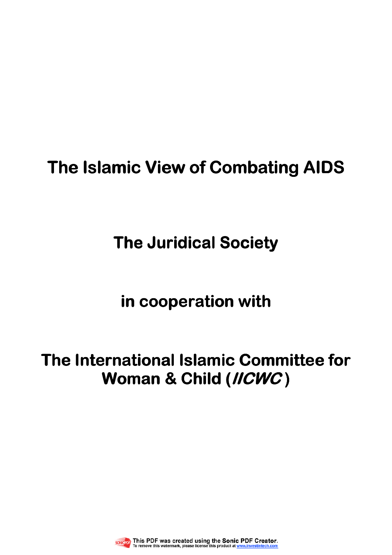# **The Islamic View of Combating AIDS**

# **The Juridical Society**

# in cooperation with

# **The International Islamic Committee for Woman & Child (IICWC )**

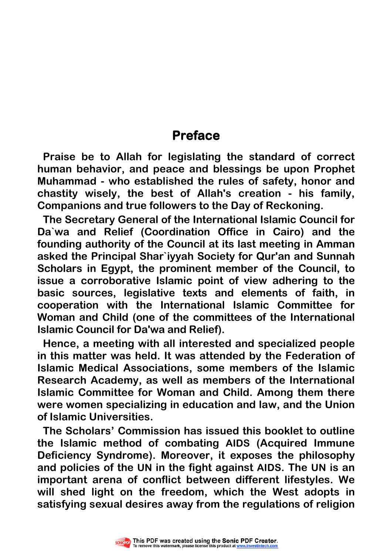# **Preface**

**Praise be to Allah for legislating the standard of correct human behavior, and peace and blessings be upon Prophet Muhammad - who established the rules of safety, honor and chastity wisely, the best of Allah's creation - his family, Companions and true followers to the Day of Reckoning.** 

**The Secretary General of the International Islamic Council for Da`wa and Relief (Coordination Office in Cairo) and the founding authority of the Council at its last meeting in Amman asked the Principal Shar`iyyah Society for Qur'an and Sunnah Scholars in Egypt, the prominent member of the Council, to issue a corroborative Islamic point of view adhering to the basic sources, legislative texts and elements of faith, in cooperation with the International Islamic Committee for Woman and Child (one of the committees of the International Islamic Council for Da'wa and Relief).** 

**Hence, a meeting with all interested and specialized people in this matter was held. It was attended by the Federation of Islamic Medical Associations, some members of the Islamic Research Academy, as well as members of the International Islamic Committee for Woman and Child. Among them there were women specializing in education and law, and the Union of Islamic Universities.** 

**The Scholars' Commission has issued this booklet to outline the Islamic method of combating AIDS (Acquired Immune Deficiency Syndrome). Moreover, it exposes the philosophy and policies of the UN in the fight against AIDS. The UN is an important arena of conflict between different lifestyles. We will shed light on the freedom, which the West adopts in satisfying sexual desires away from the regulations of religion** 

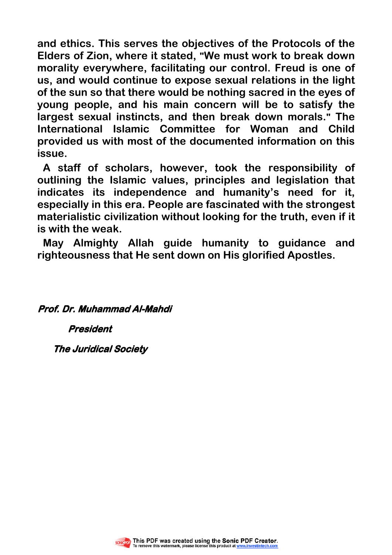**and ethics. This serves the objectives of the Protocols of the Elders of Zion, where it stated, "We must work to break down morality everywhere, facilitating our control. Freud is one of us, and would continue to expose sexual relations in the light of the sun so that there would be nothing sacred in the eyes of young people, and his main concern will be to satisfy the largest sexual instincts, and then break down morals." The International Islamic Committee for Woman and Child provided us with most of the documented information on this issue.** 

**A staff of scholars, however, took the responsibility of outlining the Islamic values, principles and legislation that indicates its independence and humanity's need for it, especially in this era. People are fascinated with the strongest materialistic civilization without looking for the truth, even if it is with the weak.** 

**May Almighty Allah guide humanity to guidance and righteousness that He sent down on His glorified Apostles.** 

 **Prof. Dr. Muhammad Al-Mahdi** 

 **President**

**The Juridical Society** 

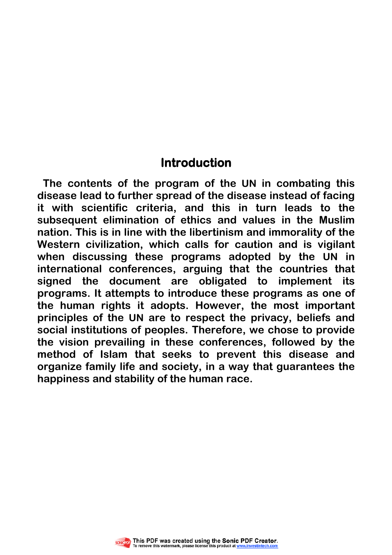# **Introduction**

**The contents of the program of the UN in combating this disease lead to further spread of the disease instead of facing it with scientific criteria, and this in turn leads to the subsequent elimination of ethics and values in the Muslim nation. This is in line with the libertinism and immorality of the Western civilization, which calls for caution and is vigilant when discussing these programs adopted by the UN in international conferences, arguing that the countries that signed the document are obligated to implement its programs. It attempts to introduce these programs as one of the human rights it adopts. However, the most important principles of the UN are to respect the privacy, beliefs and social institutions of peoples. Therefore, we chose to provide the vision prevailing in these conferences, followed by the method of Islam that seeks to prevent this disease and organize family life and society, in a way that guarantees the happiness and stability of the human race.** 

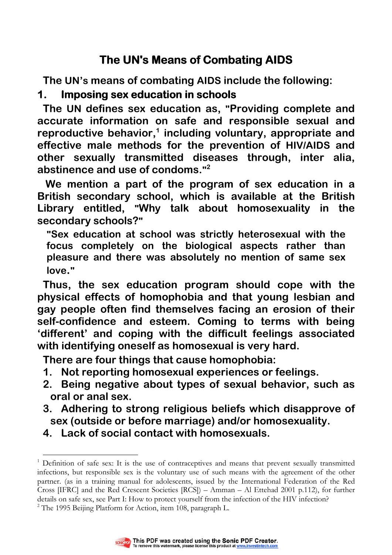# **The UN's Means of Combating AIDS**

**The UN's means of combating AIDS include the following:** 

## **1. Imposing sex education in schools**

**The UN defines sex education as, "Providing complete and accurate information on safe and responsible sexual and reproductive behavior,<sup>1</sup> including voluntary, appropriate and effective male methods for the prevention of HIV/AIDS and other sexually transmitted diseases through, inter alia, abstinence and use of condoms." 2** 

 **We mention a part of the program of sex education in a British secondary school, which is available at the British Library entitled, "Why talk about homosexuality in the secondary schools?"**

**"Sex education at school was strictly heterosexual with the focus completely on the biological aspects rather than pleasure and there was absolutely no mention of same sex love."** 

**Thus, the sex education program should cope with the physical effects of homophobia and that young lesbian and gay people often find themselves facing an erosion of their self-confidence and esteem. Coming to terms with being 'different' and coping with the difficult feelings associated with identifying oneself as homosexual is very hard.**

**There are four things that cause homophobia:** 

- **1. Not reporting homosexual experiences or feelings.**
- **2. Being negative about types of sexual behavior, such as oral or anal sex.**
- **3. Adhering to strong religious beliefs which disapprove of sex (outside or before marriage) and/or homosexuality.**
- **4. Lack of social contact with homosexuals.**

 $\overline{a}$ <sup>1</sup> Definition of safe sex: It is the use of contraceptives and means that prevent sexually transmitted infections, but responsible sex is the voluntary use of such means with the agreement of the other partner. (as in a training manual for adolescents, issued by the International Federation of the Red Cross [IFRC] and the Red Crescent Societies [RCS]) – Amman – Al Ettehad 2001 p.112), for further details on safe sex, see Part I: How to protect yourself from the infection of the HIV infection?  $^{2}$  The 1995 Beijing Platform for Action, item 108, paragraph L.

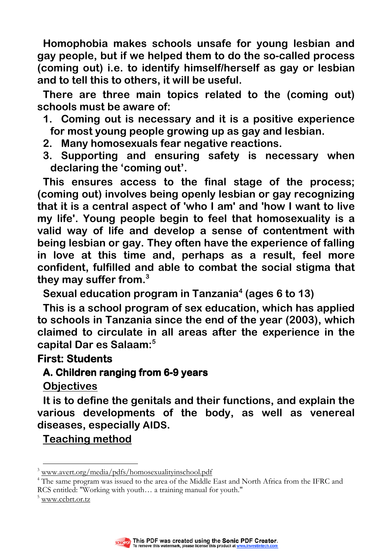**Homophobia makes schools unsafe for young lesbian and gay people, but if we helped them to do the so-called process (coming out) i.e. to identify himself/herself as gay or lesbian and to tell this to others, it will be useful.** 

**There are three main topics related to the (coming out) schools must be aware of:** 

- **1. Coming out is necessary and it is a positive experience for most young people growing up as gay and lesbian.**
- **2. Many homosexuals fear negative reactions.**
- **3. Supporting and ensuring safety is necessary when declaring the 'coming out'.**

**This ensures access to the final stage of the process; (coming out) involves being openly lesbian or gay recognizing that it is a central aspect of 'who I am' and 'how I want to live my life'. Young people begin to feel that homosexuality is a valid way of life and develop a sense of contentment with being lesbian or gay. They often have the experience of falling in love at this time and, perhaps as a result, feel more confident, fulfilled and able to combat the social stigma that they may suffer from.<sup>3</sup>**

**Sexual education program in Tanzania<sup>4</sup> (ages 6 to 13)** 

**This is a school program of sex education, which has applied to schools in Tanzania since the end of the year (2003), which claimed to circulate in all areas after the experience in the capital Dar es Salaam:<sup>5</sup>**

#### **First: Students**

## **A. Children ranging from 6-9 years**

**Objectives**

**It is to define the genitals and their functions, and explain the various developments of the body, as well as venereal diseases, especially AIDS.** 

# **Teaching method**



 $\overline{a}$ <sup>3</sup> www.avert.org/media/pdfs/homosexualityinschool.pdf

<sup>&</sup>lt;sup>4</sup> The same program was issued to the area of the Middle East and North Africa from the IFRC and RCS entitled: "Working with youth… a training manual for youth."

<sup>5</sup> www.ccbrt.or.tz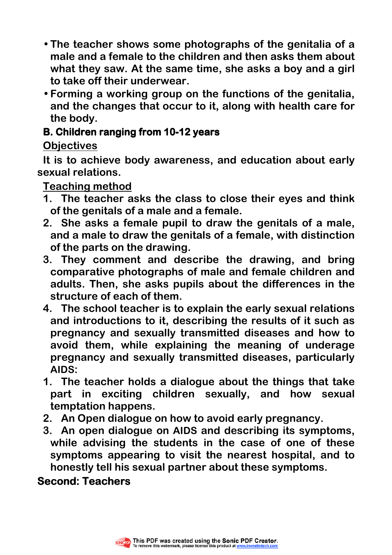- **The teacher shows some photographs of the genitalia of a male and a female to the children and then asks them about what they saw. At the same time, she asks a boy and a girl to take off their underwear.**
- **Forming a working group on the functions of the genitalia, and the changes that occur to it, along with health care for the body.**

## **B. Children ranging from 10-12 years**

# **Objectives**

**It is to achieve body awareness, and education about early sexual relations.** 

**Teaching method**

- **1. The teacher asks the class to close their eyes and think of the genitals of a male and a female.**
- **2. She asks a female pupil to draw the genitals of a male, and a male to draw the genitals of a female, with distinction of the parts on the drawing.**
- **3. They comment and describe the drawing, and bring comparative photographs of male and female children and adults. Then, she asks pupils about the differences in the structure of each of them.**
- **4. The school teacher is to explain the early sexual relations and introductions to it, describing the results of it such as pregnancy and sexually transmitted diseases and how to avoid them, while explaining the meaning of underage pregnancy and sexually transmitted diseases, particularly AIDS:**
- **1. The teacher holds a dialogue about the things that take part in exciting children sexually, and how sexual temptation happens.**
- **2. An Open dialogue on how to avoid early pregnancy.**
- **3. An open dialogue on AIDS and describing its symptoms, while advising the students in the case of one of these symptoms appearing to visit the nearest hospital, and to honestly tell his sexual partner about these symptoms.**

**Second: Teachers**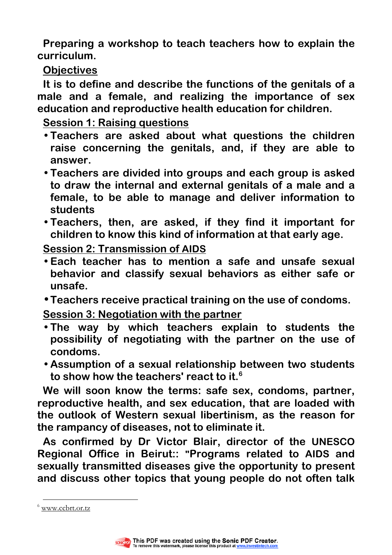**Preparing a workshop to teach teachers how to explain the curriculum.** 

**Objectives**

**It is to define and describe the functions of the genitals of a male and a female, and realizing the importance of sex education and reproductive health education for children.** 

**Session 1: Raising questions**

- **Teachers are asked about what questions the children raise concerning the genitals, and, if they are able to answer.**
- **Teachers are divided into groups and each group is asked to draw the internal and external genitals of a male and a female, to be able to manage and deliver information to students**
- **Teachers, then, are asked, if they find it important for children to know this kind of information at that early age.**

**Session 2: Transmission of AIDS**

- **Each teacher has to mention a safe and unsafe sexual behavior and classify sexual behaviors as either safe or unsafe.**
- **Teachers receive practical training on the use of condoms. Session 3: Negotiation with the partner**
- **The way by which teachers explain to students the possibility of negotiating with the partner on the use of condoms.**
- **Assumption of a sexual relationship between two students to show how the teachers' react to it.<sup>6</sup>**

**We will soon know the terms: safe sex, condoms, partner, reproductive health, and sex education, that are loaded with the outlook of Western sexual libertinism, as the reason for the rampancy of diseases, not to eliminate it.** 

**As confirmed by Dr Victor Blair, director of the UNESCO Regional Office in Beirut:: "Programs related to AIDS and sexually transmitted diseases give the opportunity to present and discuss other topics that young people do not often talk** 

 $\overline{a}$ 



<sup>&</sup>lt;sup>6</sup> www.ccbrt.or.tz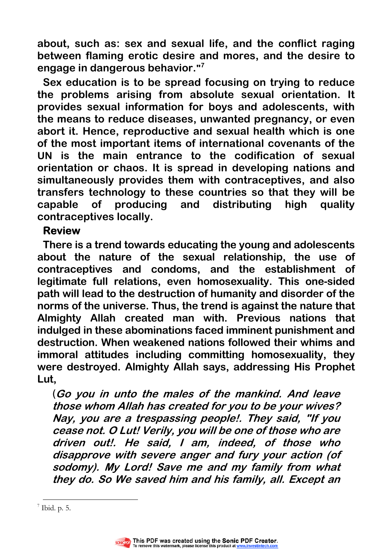**about, such as: sex and sexual life, and the conflict raging between flaming erotic desire and mores, and the desire to engage in dangerous behavior." 7**

**Sex education is to be spread focusing on trying to reduce the problems arising from absolute sexual orientation. It provides sexual information for boys and adolescents, with the means to reduce diseases, unwanted pregnancy, or even abort it. Hence, reproductive and sexual health which is one of the most important items of international covenants of the UN is the main entrance to the codification of sexual orientation or chaos. It is spread in developing nations and simultaneously provides them with contraceptives, and also transfers technology to these countries so that they will be capable of producing and distributing high quality contraceptives locally.** 

#### **Review**

**There is a trend towards educating the young and adolescents about the nature of the sexual relationship, the use of contraceptives and condoms, and the establishment of legitimate full relations, even homosexuality. This one-sided path will lead to the destruction of humanity and disorder of the norms of the universe. Thus, the trend is against the nature that Almighty Allah created man with. Previous nations that indulged in these abominations faced imminent punishment and destruction. When weakened nations followed their whims and immoral attitudes including committing homosexuality, they were destroyed. Almighty Allah says, addressing His Prophet Lut,** 

(**Go you in unto the males of the mankind. And leave those whom Allah has created for you to be your wives? Nay, you are a trespassing people!. They said, "If you cease not. O Lut! Verily, you will be one of those who are driven out!. He said, I am, indeed, of those who disapprove with severe anger and fury your action (of sodomy). My Lord! Save me and my family from what they do. So We saved him and his family, all. Except an** 



 $\overline{a}$  $^7$  Ibid. p. 5.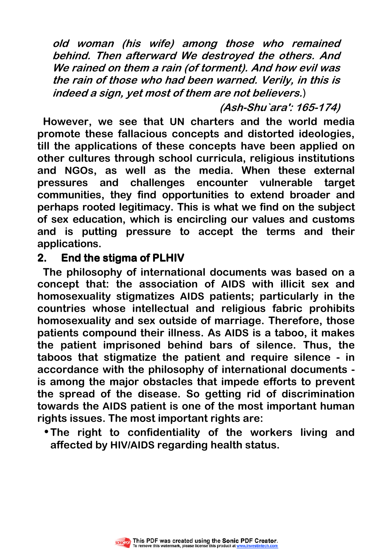**old woman (his wife) among those who remained behind. Then afterward We destroyed the others. And We rained on them a rain (of torment). And how evil was the rain of those who had been warned. Verily, in this is indeed a sign, yet most of them are not believers.**)

**(Ash-Shu`ara': 165-174)** 

**However, we see that UN charters and the world media promote these fallacious concepts and distorted ideologies, till the applications of these concepts have been applied on other cultures through school curricula, religious institutions and NGOs, as well as the media. When these external pressures and challenges encounter vulnerable target communities, they find opportunities to extend broader and perhaps rooted legitimacy. This is what we find on the subject of sex education, which is encircling our values and customs and is putting pressure to accept the terms and their applications.** 

## **2.** End the stigma of PLHIV

**The philosophy of international documents was based on a concept that: the association of AIDS with illicit sex and homosexuality stigmatizes AIDS patients; particularly in the countries whose intellectual and religious fabric prohibits homosexuality and sex outside of marriage. Therefore, those patients compound their illness. As AIDS is a taboo, it makes the patient imprisoned behind bars of silence. Thus, the taboos that stigmatize the patient and require silence - in accordance with the philosophy of international documents is among the major obstacles that impede efforts to prevent the spread of the disease. So getting rid of discrimination towards the AIDS patient is one of the most important human rights issues. The most important rights are:** 

• **The right to confidentiality of the workers living and affected by HIV/AIDS regarding health status.**

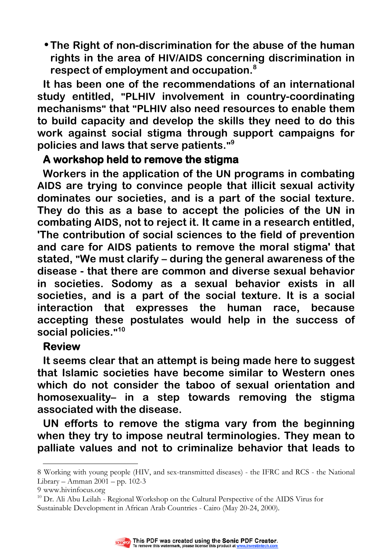• **The Right of non-discrimination for the abuse of the human rights in the area of HIV/AIDS concerning discrimination in respect of employment and occupation.<sup>8</sup>** 

**It has been one of the recommendations of an international study entitled, "PLHIV involvement in country-coordinating mechanisms" that "PLHIV also need resources to enable them to build capacity and develop the skills they need to do this work against social stigma through support campaigns for policies and laws that serve patients." 9**

## A workshop held to remove the stigma

**Workers in the application of the UN programs in combating AIDS are trying to convince people that illicit sexual activity dominates our societies, and is a part of the social texture. They do this as a base to accept the policies of the UN in combating AIDS, not to reject it. It came in a research entitled, 'The contribution of social sciences to the field of prevention and care for AIDS patients to remove the moral stigma' that stated, "We must clarify – during the general awareness of the disease - that there are common and diverse sexual behavior in societies. Sodomy as a sexual behavior exists in all societies, and is a part of the social texture. It is a social interaction that expresses the human race, because accepting these postulates would help in the success of social policies." 10**

## **Review**

**It seems clear that an attempt is being made here to suggest that Islamic societies have become similar to Western ones which do not consider the taboo of sexual orientation and homosexuality– in a step towards removing the stigma associated with the disease.** 

**UN efforts to remove the stigma vary from the beginning when they try to impose neutral terminologies. They mean to palliate values and not to criminalize behavior that leads to** 

 $\overline{a}$ 

 $10$  Dr. Ali Abu Leilah - Regional Workshop on the Cultural Perspective of the AIDS Virus for Sustainable Development in African Arab Countries - Cairo (May 20-24, 2000).



<sup>8</sup> Working with young people (HIV, and sex-transmitted diseases) - the IFRC and RCS - the National Library – Amman 2001 – pp. 102-3

<sup>9</sup> www.hivinfocus.org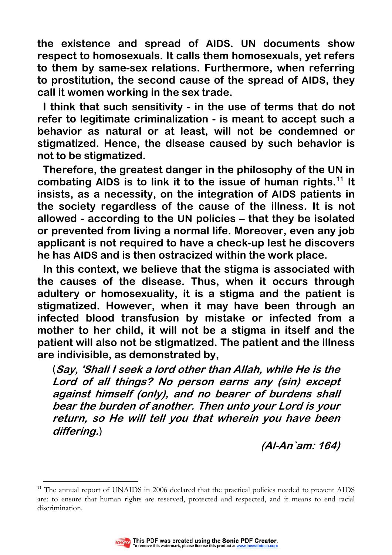**the existence and spread of AIDS. UN documents show respect to homosexuals. It calls them homosexuals, yet refers to them by same-sex relations. Furthermore, when referring to prostitution, the second cause of the spread of AIDS, they call it women working in the sex trade.** 

**I think that such sensitivity - in the use of terms that do not refer to legitimate criminalization - is meant to accept such a behavior as natural or at least, will not be condemned or stigmatized. Hence, the disease caused by such behavior is not to be stigmatized.** 

**Therefore, the greatest danger in the philosophy of the UN in combating AIDS is to link it to the issue of human rights.<sup>11</sup> It insists, as a necessity, on the integration of AIDS patients in the society regardless of the cause of the illness. It is not allowed - according to the UN policies – that they be isolated or prevented from living a normal life. Moreover, even any job applicant is not required to have a check-up lest he discovers he has AIDS and is then ostracized within the work place.** 

**In this context, we believe that the stigma is associated with the causes of the disease. Thus, when it occurs through adultery or homosexuality, it is a stigma and the patient is stigmatized. However, when it may have been through an infected blood transfusion by mistake or infected from a mother to her child, it will not be a stigma in itself and the patient will also not be stigmatized. The patient and the illness are indivisible, as demonstrated by,** 

(**Say, 'Shall I seek a lord other than Allah, while He is the Lord of all things? No person earns any (sin) except against himself (only), and no bearer of burdens shall bear the burden of another. Then unto your Lord is your return, so He will tell you that wherein you have been differing.**)

**(Al-An`am: 164)** 

 $\overline{a}$ <sup>11</sup> The annual report of UNAIDS in 2006 declared that the practical policies needed to prevent AIDS are: to ensure that human rights are reserved, protected and respected, and it means to end racial discrimination.

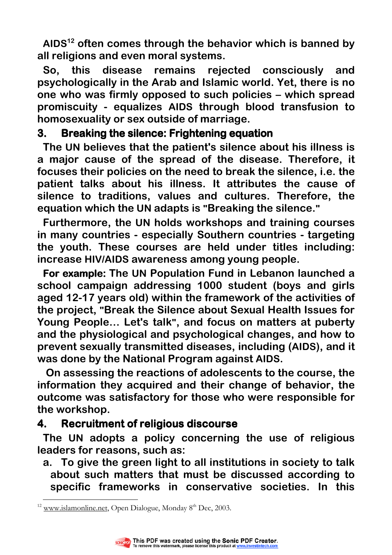**AIDS<sup>12</sup> often comes through the behavior which is banned by all religions and even moral systems.** 

**So, this disease remains rejected consciously and psychologically in the Arab and Islamic world. Yet, there is no one who was firmly opposed to such policies – which spread promiscuity - equalizes AIDS through blood transfusion to homosexuality or sex outside of marriage.** 

## **3. Breaking the silence: Frightening equation**

**The UN believes that the patient's silence about his illness is a major cause of the spread of the disease. Therefore, it focuses their policies on the need to break the silence, i.e. the patient talks about his illness. It attributes the cause of silence to traditions, values and cultures. Therefore, the equation which the UN adapts is "Breaking the silence."** 

**Furthermore, the UN holds workshops and training courses in many countries - especially Southern countries - targeting the youth. These courses are held under titles including: increase HIV/AIDS awareness among young people.** 

**For example: The UN Population Fund in Lebanon launched a school campaign addressing 1000 student (boys and girls aged 12-17 years old) within the framework of the activities of the project, "Break the Silence about Sexual Health Issues for Young People… Let's talk", and focus on matters at puberty and the physiological and psychological changes, and how to prevent sexually transmitted diseases, including (AIDS), and it was done by the National Program against AIDS.** 

**On assessing the reactions of adolescents to the course, the information they acquired and their change of behavior, the outcome was satisfactory for those who were responsible for the workshop.** 

# **4. Recruitment of religious discourse**

**The UN adopts a policy concerning the use of religious leaders for reasons, such as:** 

**a. To give the green light to all institutions in society to talk about such matters that must be discussed according to specific frameworks in conservative societies. In this** 

 $\overline{a}$ <sup>12</sup> www.islamonline.net, Open Dialogue, Monday 8<sup>th</sup> Dec, 2003.

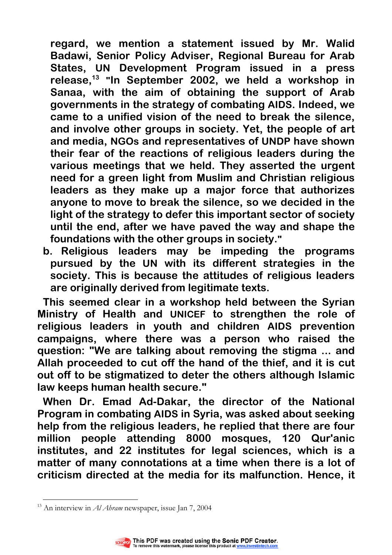**regard, we mention a statement issued by Mr. Walid Badawi, Senior Policy Adviser, Regional Bureau for Arab States, UN Development Program issued in a press release,<sup>13</sup> "In September 2002, we held a workshop in Sanaa, with the aim of obtaining the support of Arab governments in the strategy of combating AIDS. Indeed, we came to a unified vision of the need to break the silence, and involve other groups in society. Yet, the people of art and media, NGOs and representatives of UNDP have shown their fear of the reactions of religious leaders during the various meetings that we held. They asserted the urgent need for a green light from Muslim and Christian religious leaders as they make up a major force that authorizes anyone to move to break the silence, so we decided in the light of the strategy to defer this important sector of society until the end, after we have paved the way and shape the foundations with the other groups in society."**

**b. Religious leaders may be impeding the programs pursued by the UN with its different strategies in the society. This is because the attitudes of religious leaders are originally derived from legitimate texts.**

**This seemed clear in a workshop held between the Syrian Ministry of Health and UNICEF to strengthen the role of religious leaders in youth and children AIDS prevention campaigns, where there was a person who raised the question: "We are talking about removing the stigma ... and Allah proceeded to cut off the hand of the thief, and it is cut out off to be stigmatized to deter the others although Islamic law keeps human health secure."** 

**When Dr. Emad Ad-Dakar, the director of the National Program in combating AIDS in Syria, was asked about seeking help from the religious leaders, he replied that there are four million people attending 8000 mosques, 120 Qur'anic institutes, and 22 institutes for legal sciences, which is a matter of many connotations at a time when there is a lot of criticism directed at the media for its malfunction. Hence, it** 

 $\overline{a}$ <sup>13</sup> An interview in *Al Ahram* newspaper, issue Jan 7, 2004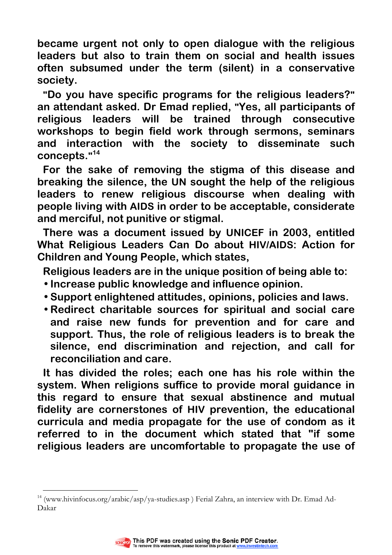**became urgent not only to open dialogue with the religious leaders but also to train them on social and health issues often subsumed under the term (silent) in a conservative society.** 

**"Do you have specific programs for the religious leaders?" an attendant asked. Dr Emad replied, "Yes, all participants of religious leaders will be trained through consecutive workshops to begin field work through sermons, seminars and interaction with the society to disseminate such concepts." 14**

**For the sake of removing the stigma of this disease and breaking the silence, the UN sought the help of the religious leaders to renew religious discourse when dealing with people living with AIDS in order to be acceptable, considerate and merciful, not punitive or stigmal.** 

**There was a document issued by UNICEF in 2003, entitled What Religious Leaders Can Do about HIV/AIDS: Action for Children and Young People, which states,** 

**Religious leaders are in the unique position of being able to:** 

- **Increase public knowledge and influence opinion.**
- **Support enlightened attitudes, opinions, policies and laws.**
- **Redirect charitable sources for spiritual and social care and raise new funds for prevention and for care and support. Thus, the role of religious leaders is to break the silence, end discrimination and rejection, and call for reconciliation and care.**

**It has divided the roles; each one has his role within the system. When religions suffice to provide moral guidance in this regard to ensure that sexual abstinence and mutual fidelity are cornerstones of HIV prevention, the educational curricula and media propagate for the use of condom as it referred to in the document which stated that "if some religious leaders are uncomfortable to propagate the use of** 

<sup>&</sup>lt;sup>14</sup> (www.hivinfocus.org/arabic/asp/ya-studies.asp) Ferial Zahra, an interview with Dr. Emad Ad-Dakar



 $\overline{a}$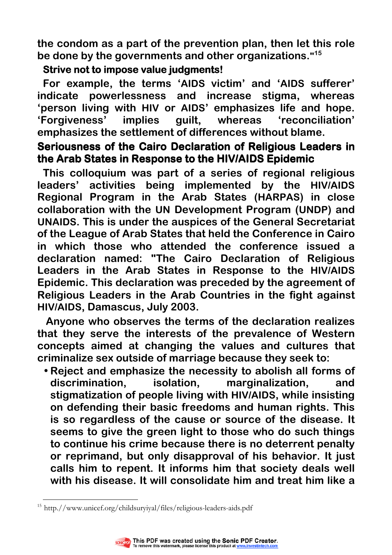**the condom as a part of the prevention plan, then let this role be done by the governments and other organizations." 15** 

## **Strive not to impose value judgments!**

**For example, the terms 'AIDS victim' and 'AIDS sufferer' indicate powerlessness and increase stigma, whereas 'person living with HIV or AIDS' emphasizes life and hope. 'Forgiveness' implies guilt, whereas 'reconciliation' emphasizes the settlement of differences without blame.** 

# **Seriousness of the Cairo Declaration of Religious Leaders in the Arab States in Response to the HIV/AIDS Epidemic**

**This colloquium was part of a series of regional religious leaders' activities being implemented by the HIV/AIDS Regional Program in the Arab States (HARPAS) in close collaboration with the UN Development Program (UNDP) and UNAIDS. This is under the auspices of the General Secretariat of the League of Arab States that held the Conference in Cairo in which those who attended the conference issued a declaration named: "The Cairo Declaration of Religious Leaders in the Arab States in Response to the HIV/AIDS Epidemic. This declaration was preceded by the agreement of Religious Leaders in the Arab Countries in the fight against HIV/AIDS, Damascus, July 2003.** 

**Anyone who observes the terms of the declaration realizes that they serve the interests of the prevalence of Western concepts aimed at changing the values and cultures that criminalize sex outside of marriage because they seek to:** 

• **Reject and emphasize the necessity to abolish all forms of discrimination, isolation, marginalization, and stigmatization of people living with HIV/AIDS, while insisting on defending their basic freedoms and human rights. This is so regardless of the cause or source of the disease. It seems to give the green light to those who do such things to continue his crime because there is no deterrent penalty or reprimand, but only disapproval of his behavior. It just calls him to repent. It informs him that society deals well with his disease. It will consolidate him and treat him like a** 

 $\overline{a}$ <sup>15</sup> http.//www.unicef.org/childsuryiyal/files/religious-leaders-aids.pdf

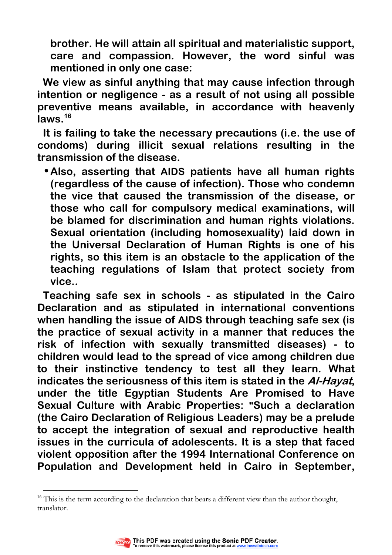**brother. He will attain all spiritual and materialistic support, care and compassion. However, the word sinful was mentioned in only one case:** 

**We view as sinful anything that may cause infection through intention or negligence - as a result of not using all possible preventive means available, in accordance with heavenly laws.<sup>16</sup>**

**It is failing to take the necessary precautions (i.e. the use of condoms) during illicit sexual relations resulting in the transmission of the disease.** 

• **Also, asserting that AIDS patients have all human rights (regardless of the cause of infection). Those who condemn the vice that caused the transmission of the disease, or those who call for compulsory medical examinations, will be blamed for discrimination and human rights violations. Sexual orientation (including homosexuality) laid down in the Universal Declaration of Human Rights is one of his rights, so this item is an obstacle to the application of the teaching regulations of Islam that protect society from vice..** 

**Teaching safe sex in schools - as stipulated in the Cairo Declaration and as stipulated in international conventions when handling the issue of AIDS through teaching safe sex (is the practice of [sexual activity](http://en.wikipedia.org/wiki/Sexual_activity) in a manner that reduces the risk of [infection](http://en.wikipedia.org/wiki/Infection) with [sexually transmitted diseases\)](http://en.wikipedia.org/wiki/Sexually_transmitted_diseases) - to children would lead to the spread of vice among children due to their instinctive tendency to test all they learn. What indicates the seriousness of this item is stated in the Al-Hayat, under the title Egyptian Students Are Promised to Have Sexual Culture with Arabic Properties: "Such a declaration (the Cairo Declaration of Religious Leaders) may be a prelude to accept the integration of sexual and reproductive health issues in the curricula of adolescents. It is a step that faced violent opposition after the 1994 International Conference on Population and Development held in Cairo in September,** 

 $16$  This is the term according to the declaration that bears a different view than the author thought, translator.



 $\overline{a}$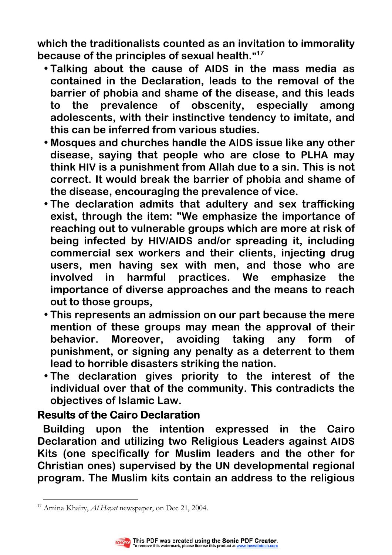**which the traditionalists counted as an invitation to immorality because of the principles of sexual health." 17**

- **Talking about the cause of AIDS in the mass media as contained in the Declaration, leads to the removal of the barrier of phobia and shame of the disease, and this leads to the prevalence of obscenity, especially among adolescents, with their instinctive tendency to imitate, and this can be inferred from various studies.**
- **Mosques and churches handle the AIDS issue like any other disease, saying that people who are close to PLHA may think HIV is a punishment from Allah due to a sin. This is not correct. It would break the barrier of phobia and shame of the disease, encouraging the prevalence of vice.**
- **The declaration admits that adultery and sex trafficking exist, through the item: "We emphasize the importance of reaching out to vulnerable groups which are more at risk of being infected by HIV/AIDS and/or spreading it, including commercial sex workers and their clients, injecting drug users, men having sex with men, and those who are involved in harmful practices. We emphasize the importance of diverse approaches and the means to reach out to those groups,**
- **This represents an admission on our part because the mere mention of these groups may mean the approval of their behavior. Moreover, avoiding taking any form of punishment, or signing any penalty as a deterrent to them lead to horrible disasters striking the nation.**
- **The declaration gives priority to the interest of the individual over that of the community. This contradicts the objectives of Islamic Law.**

## **Results of the Cairo Declaration**

**Building upon the intention expressed in the Cairo Declaration and utilizing two Religious Leaders against AIDS Kits (one specifically for Muslim leaders and the other for Christian ones) supervised by the UN developmental regional program. The Muslim kits contain an address to the religious** 

 $\overline{a}$  $^{17}$  Amina Khairy, Al Hayat newspaper, on Dec 21, 2004.

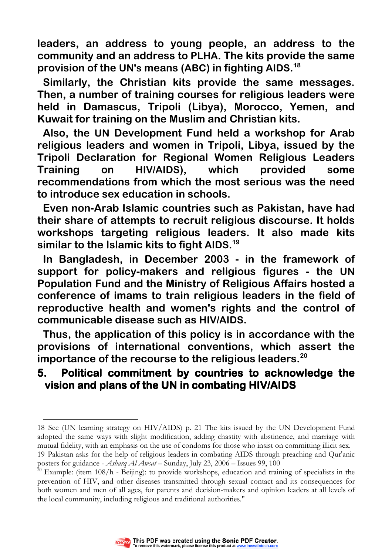**leaders, an address to young people, an address to the community and an address to PLHA. The kits provide the same provision of the UN's means (ABC) in fighting AIDS. 18**

**Similarly, the Christian kits provide the same messages. Then, a number of training courses for religious leaders were held in Damascus, Tripoli (Libya), Morocco, Yemen, and Kuwait for training on the Muslim and Christian kits.** 

**Also, the UN Development Fund held a workshop for Arab religious leaders and women in Tripoli, Libya, issued by the Tripoli Declaration for Regional Women Religious Leaders Training on HIV/AIDS), which provided some recommendations from which the most serious was the need to introduce sex education in schools.** 

**Even non-Arab Islamic countries such as Pakistan, have had their share of attempts to recruit religious discourse. It holds workshops targeting religious leaders. It also made kits similar to the Islamic kits to fight AIDS. 19**

**In Bangladesh, in December 2003 - in the framework of support for policy-makers and religious figures - the UN Population Fund and the Ministry of Religious Affairs hosted a conference of imams to train religious leaders in the field of reproductive health and women's rights and the control of communicable disease such as HIV/AIDS.** 

**Thus, the application of this policy is in accordance with the provisions of international conventions, which assert the importance of the recourse to the religious leaders. 20**

## **5. Political commitment by countries to acknowledge by countries acknowledge acknowledge the vision and plans of the UN in combating HIV/AIDS combating HIV/AIDS**



 $\overline{a}$ 

<sup>18</sup> See (UN learning strategy on HIV/AIDS) p. 21 The kits issued by the UN Development Fund adopted the same ways with slight modification, adding chastity with abstinence, and marriage with mutual fidelity, with an emphasis on the use of condoms for those who insist on committing illicit sex.

<sup>19</sup> Pakistan asks for the help of religious leaders in combating AIDS through preaching and Qur'anic posters for guidance - Asharq Al Awsat – Sunday, July 23, 2006 – Issues 99, 100

<sup>&</sup>lt;sup>20</sup> Example: (item  $108/h$  - Beijing): to provide workshops, education and training of specialists in the prevention of HIV, and other diseases transmitted through sexual contact and its consequences for both women and men of all ages, for parents and decision-makers and opinion leaders at all levels of the local community, including religious and traditional authorities."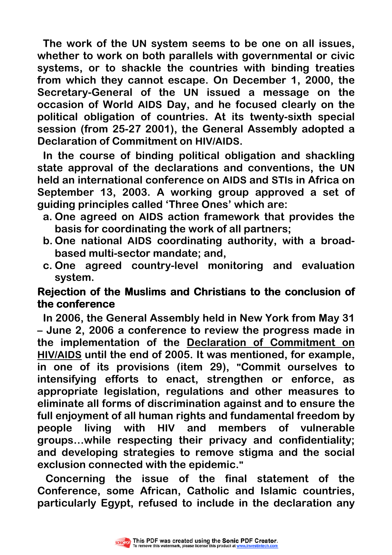**The work of the UN system seems to be one on all issues, whether to work on both parallels with governmental or civic systems, or to shackle the countries with binding treaties from which they cannot escape. On December 1, 2000, the Secretary-General of the UN issued a message on the occasion of World AIDS Day, and he focused clearly on the political obligation of countries. At its twenty-sixth special session (from 25-27 2001), the General Assembly adopted a Declaration of Commitment on HIV/AIDS.** 

**In the course of binding political obligation and shackling state approval of the declarations and conventions, the UN held an international conference on AIDS and STIs in Africa on September 13, 2003. A working group approved a set of guiding principles called 'Three Ones' which are:** 

- **a. One agreed on AIDS action framework that provides the basis for coordinating the work of all partners;**
- **b. One national AIDS coordinating authority, with a broadbased multi-sector mandate; and,**
- **c. One agreed country-level monitoring and evaluation system.**

## **Rejection of the Muslims and Christians to the conclusion of the conference conference**

**In 2006, the General Assembly held in New York from May 31 – June 2, 2006 a conference to review the progress made in the implementation of the [Declaration of Commitment on](http://www.un.org/ga/aids/coverage/FinalDeclarationHIVAIDS.html)  HIV/AIDS until the end of 2005. It was mentioned, for example, [in one o](http://www.un.org/ga/aids/coverage/FinalDeclarationHIVAIDS.html)f its provisions (item 29), "Commit ourselves to intensifying efforts to enact, strengthen or enforce, as appropriate legislation, regulations and other measures to eliminate all forms of discrimination against and to ensure the full enjoyment of all human rights and fundamental freedom by people living with HIV and members of vulnerable groups…while respecting their privacy and confidentiality; and developing strategies to remove stigma and the social exclusion connected with the epidemic."**

 **Concerning the issue of the final statement of the Conference, some African, Catholic and Islamic countries, particularly Egypt, refused to include in the declaration any** 

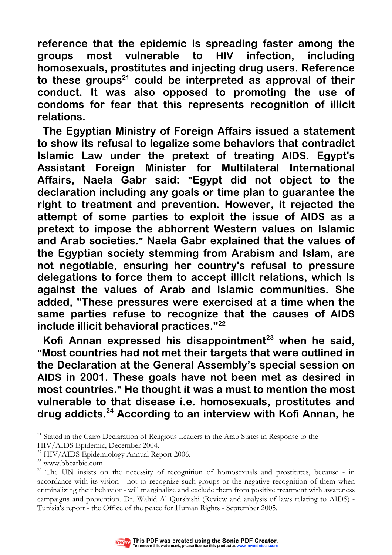**reference that the epidemic is spreading faster among the groups most vulnerable to HIV infection, including homosexuals, prostitutes and injecting drug users. Reference to these groups<sup>21</sup> could be interpreted as approval of their conduct. It was also opposed to promoting the use of condoms for fear that this represents recognition of illicit relations.** 

**The Egyptian Ministry of Foreign Affairs issued a statement to show its refusal to legalize some behaviors that contradict Islamic Law under the pretext of treating AIDS. Egypt's Assistant Foreign Minister for Multilateral International Affairs, Naela Gabr said: "Egypt did not object to the declaration including any goals or time plan to guarantee the right to treatment and prevention. However, it rejected the attempt of some parties to exploit the issue of AIDS as a pretext to impose the abhorrent Western values on Islamic and Arab societies." Naela Gabr explained that the values of the Egyptian society stemming from Arabism and Islam, are not negotiable, ensuring her country's refusal to pressure delegations to force them to accept illicit relations, which is against the values of Arab and Islamic communities. She added, "These pressures were exercised at a time when the same parties refuse to recognize that the causes of AIDS include illicit behavioral practices."<sup>22</sup>**

**Kofi Annan expressed his disappointment<sup>23</sup> when he said, "Most countries had not met their targets that were outlined in the Declaration at the General Assembly's special session on AIDS in 2001. These goals have not been met as desired in most countries." He thought it was a must to mention the most vulnerable to that disease i.e. homosexuals, prostitutes and drug addicts.<sup>24</sup> According to an interview with Kofi Annan, he** 

 $\overline{a}$ 

<sup>&</sup>lt;sup>24</sup> The UN insists on the necessity of recognition of homosexuals and prostitutes, because - in accordance with its vision - not to recognize such groups or the negative recognition of them when criminalizing their behavior - will marginalize and exclude them from positive treatment with awareness campaigns and prevention. Dr. Wahid Al Qurshishi (Review and analysis of laws relating to AIDS) - Tunisia's report - the Office of the peace for Human Rights - September 2005.



 $21$  Stated in the Cairo Declaration of Religious Leaders in the Arab States in Response to the HIV/AIDS Epidemic, December 2004.

<sup>&</sup>lt;sup>22</sup> HIV/AIDS Epidemiology Annual Report 2006.

<sup>&</sup>lt;sup>23</sup> www.bbcarbic.com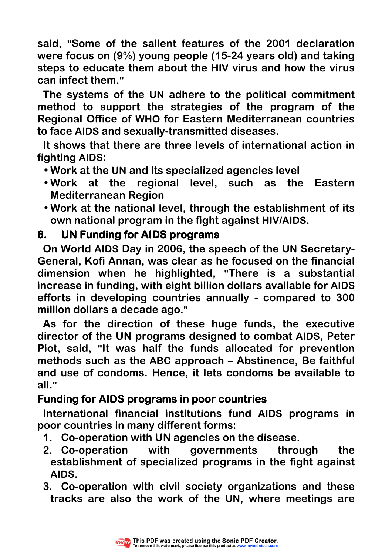**said, "Some of the salient features of the 2001 declaration were focus on (9%) young people (15-24 years old) and taking steps to educate them about the HIV virus and how the virus can infect them."**

**The systems of the UN adhere to the political commitment method to support the strategies of the program of the Regional Office of WHO for Eastern Mediterranean countries to face AIDS and sexually-transmitted diseases.** 

**It shows that there are three levels of international action in fighting AIDS:** 

• **Work at the UN and its specialized agencies level** 

- **Work at the regional level, such as the Eastern Mediterranean Region**
- **Work at the national level, through the establishment of its own national program in the fight against HIV/AIDS.**

## **6. UN Funding for AIDS programs**

**On World AIDS Day in 2006, the speech of the UN Secretary-General, Kofi Annan, was clear as he focused on the financial dimension when he highlighted, "There is a substantial increase in funding, with eight billion dollars available for AIDS efforts in developing countries annually - compared to 300 million dollars a decade ago."** 

**As for the direction of these huge funds, the executive director of the UN programs designed to combat AIDS, Peter Piot, said, "It was half the funds allocated for prevention methods such as the ABC approach – Abstinence, Be faithful and use of condoms. Hence, it lets condoms be available to all."** 

# **Funding for AIDS programs in poor countries**

**International financial institutions fund AIDS programs in poor countries in many different forms:** 

- **1. Co-operation with UN agencies on the disease.**
- **2. Co-operation with governments through the establishment of specialized programs in the fight against AIDS.**
- **3. Co-operation with civil society organizations and these tracks are also the work of the UN, where meetings are**

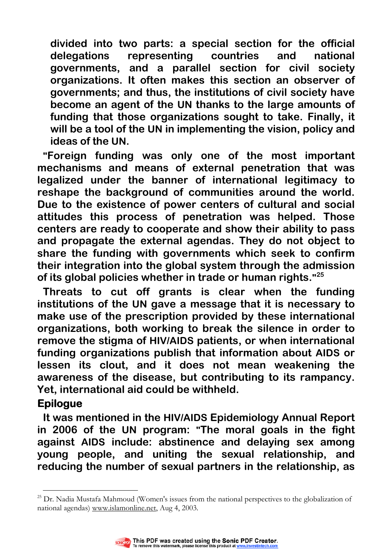**divided into two parts: a special section for the official delegations representing countries and national governments, and a parallel section for civil society organizations. It often makes this section an observer of governments; and thus, the institutions of civil society have become an agent of the UN thanks to the large amounts of funding that those organizations sought to take. Finally, it will be a tool of the UN in implementing the vision, policy and ideas of the UN.** 

**"Foreign funding was only one of the most important mechanisms and means of external penetration that was legalized under the banner of international legitimacy to reshape the background of communities around the world. Due to the existence of power centers of cultural and social attitudes this process of penetration was helped. Those centers are ready to cooperate and show their ability to pass and propagate the external agendas. They do not object to share the funding with governments which seek to confirm their integration into the global system through the admission of its global policies whether in trade or human rights." 25** 

**Threats to cut off grants is clear when the funding institutions of the UN gave a message that it is necessary to make use of the prescription provided by these international organizations, both working to break the silence in order to remove the stigma of HIV/AIDS patients, or when international funding organizations publish that information about AIDS or lessen its clout, and it does not mean weakening the awareness of the disease, but contributing to its rampancy. Yet, international aid could be withheld.** 

## **Epilogue**

**It was mentioned in the HIV/AIDS Epidemiology Annual Report in 2006 of the UN program: "The moral goals in the fight against AIDS include: abstinence and delaying sex among young people, and uniting the sexual relationship, and reducing the number of sexual partners in the relationship, as** 

 $\overline{a}$ <sup>25</sup> Dr. Nadia Mustafa Mahmoud (Women's issues from the national perspectives to the globalization of national agendas) www.islamonline.net, Aug 4, 2003.

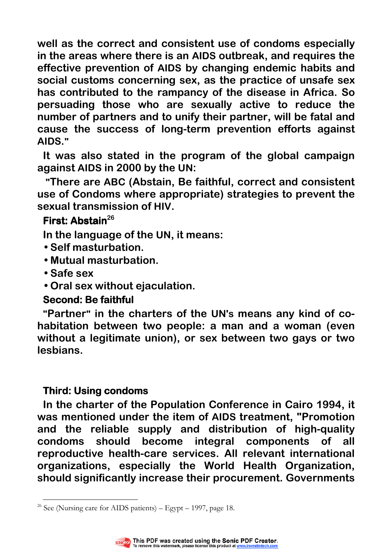**well as the correct and consistent use of condoms especially in the areas where there is an AIDS outbreak, and requires the effective prevention of AIDS by changing endemic habits and social customs concerning sex, as the practice of unsafe sex has contributed to the rampancy of the disease in Africa. So persuading those who are sexually active to reduce the number of partners and to unify their partner, will be fatal and cause the success of long-term prevention efforts against AIDS."** 

**It was also stated in the program of the global campaign against AIDS in 2000 by the UN:** 

**"There are ABC (Abstain, Be faithful, correct and consistent use of Condoms where appropriate) strategies to prevent the sexual transmission of HIV.** 

## **First: Abstain<sup>26</sup>**

**In the language of the UN, it means:** 

- **Self masturbation.**
- **Mutual masturbation.**
- **Safe sex**
- **Oral sex without ejaculation.**

# **Second: Be faithful**

**"Partner" in the charters of the UN's means any kind of cohabitation between two people: a man and a woman (even without a legitimate union), or sex between two gays or two lesbians.** 

# **Third: Using condoms condoms**

**In the charter of the Population Conference in Cairo 1994, it was mentioned under the item of AIDS treatment, "Promotion and the reliable supply and distribution of high-quality condoms should become integral components of all reproductive health-care services. All relevant international organizations, especially the World Health Organization, should significantly increase their procurement. Governments** 

 $\overline{a}$ <sup>26</sup> See (Nursing care for AIDS patients) – Egypt – 1997, page 18.

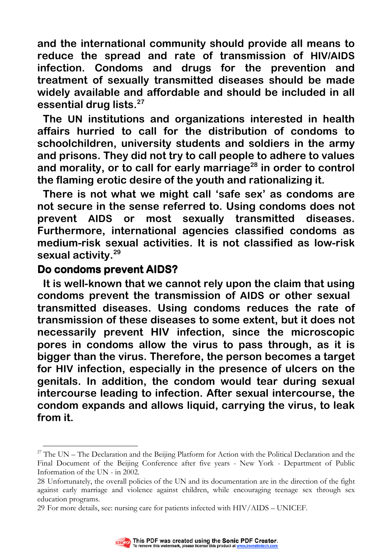**and the international community should provide all means to reduce the spread and rate of transmission of HIV/AIDS infection. Condoms and drugs for the prevention and treatment of sexually transmitted diseases should be made widely available and affordable and should be included in all essential drug lists.<sup>27</sup>**

**The UN institutions and organizations interested in health affairs hurried to call for the distribution of condoms to schoolchildren, university students and soldiers in the army and prisons. They did not try to call people to adhere to values and morality, or to call for early marriage<sup>28</sup> in order to control the flaming erotic desire of the youth and rationalizing it.** 

**There is not what we might call 'safe sex' as condoms are not secure in the sense referred to. Using condoms does not prevent AIDS or most sexually transmitted diseases. Furthermore, international agencies classified condoms as medium-risk sexual activities. It is not classified as low-risk sexual activity.<sup>29</sup>**

#### **Do condoms prevent AIDS? AIDS?**

 $\overline{a}$ 

**It is well-known that we cannot rely upon the claim that using condoms prevent the transmission of AIDS or other sexual transmitted diseases. Using condoms reduces the rate of transmission of these diseases to some extent, but it does not necessarily prevent HIV infection, since the microscopic pores in condoms allow the virus to pass through, as it is bigger than the virus. Therefore, the person becomes a target for HIV infection, especially in the presence of ulcers on the genitals. In addition, the condom would tear during sexual intercourse leading to infection. After sexual intercourse, the condom expands and allows liquid, carrying the virus, to leak from it.** 

<sup>29</sup> For more details, see: nursing care for patients infected with HIV/AIDS – UNICEF.



<sup>&</sup>lt;sup>27</sup> The UN – The Declaration and the Beijing Platform for Action with the Political Declaration and the Final Document of the Beijing Conference after five years - New York - Department of Public Information of the UN - in 2002.

<sup>28</sup> Unfortunately, the overall policies of the UN and its documentation are in the direction of the fight against early marriage and violence against children, while encouraging teenage sex through sex education programs.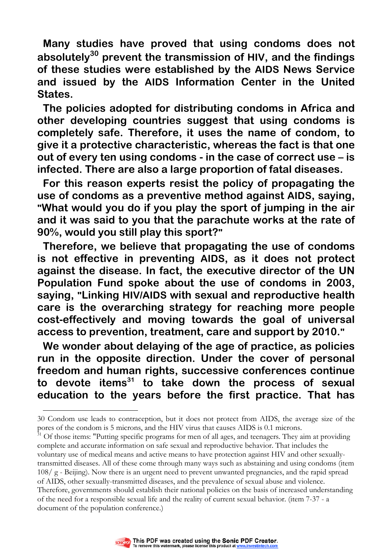**Many studies have proved that using condoms does not absolutely<sup>30</sup> prevent the transmission of HIV, and the findings of these studies were established by the AIDS News Service and issued by the AIDS Information Center in the United States.** 

**The policies adopted for distributing condoms in Africa and other developing countries suggest that using condoms is completely safe. Therefore, it uses the name of condom, to give it a protective characteristic, whereas the fact is that one out of every ten using condoms - in the case of correct use – is infected. There are also a large proportion of fatal diseases.** 

**For this reason experts resist the policy of propagating the use of condoms as a preventive method against AIDS, saying, "What would you do if you play the sport of jumping in the air and it was said to you that the parachute works at the rate of 90%, would you still play this sport?"**

**Therefore, we believe that propagating the use of condoms is not effective in preventing AIDS, as it does not protect against the disease. In fact, the executive director of the UN Population Fund spoke about the use of condoms in 2003, saying, "Linking HIV/AIDS with sexual and reproductive health care is the overarching strategy for reaching more people cost-effectively and moving towards the goal of universal access to prevention, treatment, care and support by 2010."** 

**We wonder about delaying of the age of practice, as policies run in the opposite direction. Under the cover of personal freedom and human rights, successive conferences continue to devote items<sup>31</sup> to take down the process of sexual education to the years before the first practice. That has** 

 $31$  Of those items: "Putting specific programs for men of all ages, and teenagers. They aim at providing complete and accurate information on safe sexual and reproductive behavior. That includes the

of AIDS, other sexually-transmitted diseases, and the prevalence of sexual abuse and violence. Therefore, governments should establish their national policies on the basis of increased understanding of the need for a responsible sexual life and the reality of current sexual behavior. (item 7-37 - a document of the population conference.)



 $\overline{a}$ 

<sup>30</sup> Condom use leads to contraception, but it does not protect from AIDS, the average size of the pores of the condom is 5 microns, and the HIV virus that causes AIDS is 0.1 microns.

voluntary use of medical means and active means to have protection against HIV and other sexuallytransmitted diseases. All of these come through many ways such as abstaining and using condoms (item 108/ g - Beijing). Now there is an urgent need to prevent unwanted pregnancies, and the rapid spread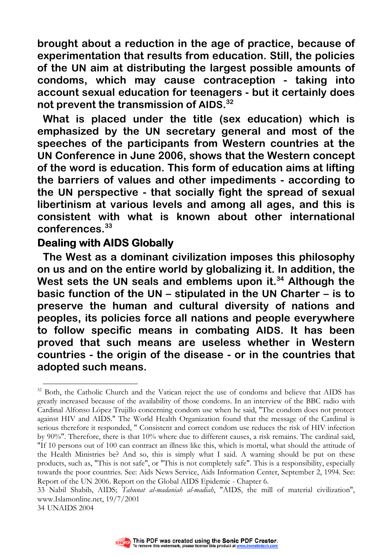**brought about a reduction in the age of practice, because of experimentation that results from education. Still, the policies of the UN aim at distributing the largest possible amounts of condoms, which may cause contraception - taking into account sexual education for teenagers - but it certainly does not prevent the transmission of AIDS. 32** 

**What is placed under the title (sex education) which is emphasized by the UN secretary general and most of the speeches of the participants from Western countries at the UN Conference in June 2006, shows that the Western concept of the word is education. This form of education aims at lifting the barriers of values and other impediments - according to the UN perspective - that socially fight the spread of sexual libertinism at various levels and among all ages, and this is consistent with what is known about other international conferences.<sup>33</sup>** 

#### **Dealing with AIDS Globally**

**The West as a dominant civilization imposes this philosophy on us and on the entire world by globalizing it. In addition, the West sets the UN seals and emblems upon it.<sup>34</sup> Although the basic function of the UN – stipulated in the UN Charter – is to preserve the human and cultural diversity of nations and peoples, its policies force all nations and people everywhere to follow specific means in combating AIDS. It has been proved that such means are useless whether in Western countries - the origin of the disease - or in the countries that adopted such means.** 



 $\overline{a}$ <sup>32</sup> Both, the Catholic Church and the Vatican reject the use of condoms and believe that AIDS has greatly increased because of the availability of those condoms. In an interview of the BBC radio with Cardinal Alfonso López Trujillo concerning condom use when he said, "The condom does not protect against HIV and AIDS." The World Health Organization found that the message of the Cardinal is serious therefore it responded, " Consistent and correct condom use reduces the risk of HIV infection by 90%". Therefore, there is that 10% where due to different causes, a risk remains. The cardinal said, "If 10 persons out of 100 can contract an illness like this, which is mortal, what should the attitude of the Health Ministries be? And so, this is simply what I said. A warning should be put on these products, such as, "This is not safe", or "This is not completely safe". This is a responsibility, especially towards the poor countries. See: Aids News Service, Aids Information Center, September 2, 1994. See: Report of the UN 2006. Report on the Global AIDS Epidemic - Chapter 6.

<sup>33</sup> Nabil Shabib, AIDS; Tahunat al-madaniah al-madiah, "AIDS, the mill of material civilization", www.Islamonline.net, 19/7/2001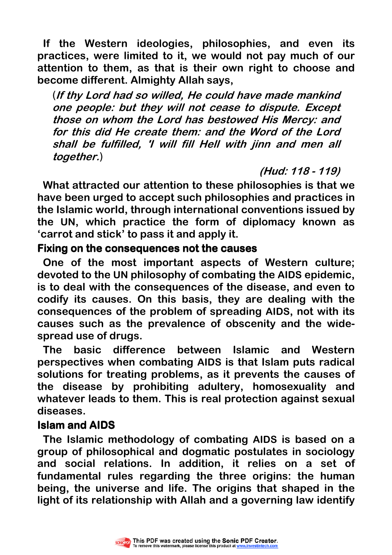**If the Western ideologies, philosophies, and even its practices, were limited to it, we would not pay much of our attention to them, as that is their own right to choose and become different. Almighty Allah says,** 

(**If thy Lord had so willed, He could have made mankind one people: but they will not cease to dispute. Except those on whom the Lord has bestowed His Mercy: and for this did He create them: and the Word of the Lord shall be fulfilled, 'I will fill Hell with jinn and men all together.**)

**(Hud: 118 - 119)** 

**What attracted our attention to these philosophies is that we have been urged to accept such philosophies and practices in the Islamic world, through international conventions issued by the UN, which practice the form of diplomacy known as 'carrot and stick' to pass it and apply it.** 

## **Fixing on the consequences not the causes**

**One of the most important aspects of Western culture; devoted to the UN philosophy of combating the AIDS epidemic, is to deal with the consequences of the disease, and even to codify its causes. On this basis, they are dealing with the consequences of the problem of spreading AIDS, not with its causes such as the prevalence of obscenity and the widespread use of drugs.** 

**The basic difference between Islamic and Western perspectives when combating AIDS is that Islam puts radical solutions for treating problems, as it prevents the causes of the disease by prohibiting adultery, homosexuality and whatever leads to them. This is real protection against sexual diseases.** 

## **Islam and AIDS Islam and**

**The Islamic methodology of combating AIDS is based on a group of philosophical and dogmatic postulates in sociology and social relations. In addition, it relies on a set of fundamental rules regarding the three origins: the human being, the universe and life. The origins that shaped in the light of its relationship with Allah and a governing law identify** 

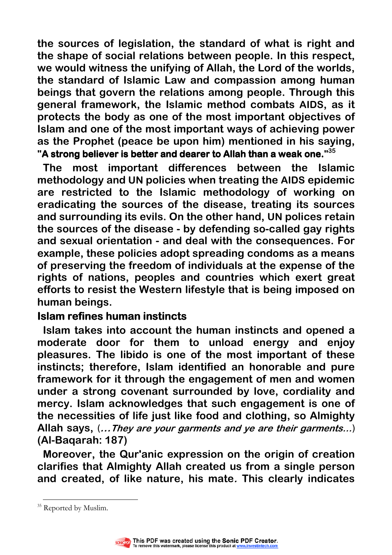**the sources of legislation, the standard of what is right and the shape of social relations between people. In this respect, we would witness the unifying of Allah, the Lord of the worlds, the standard of Islamic Law and compassion among human beings that govern the relations among people. Through this general framework, the Islamic method combats AIDS, as it protects the body as one of the most important objectives of Islam and one of the most important ways of achieving power as the Prophet (peace be upon him) mentioned in his saying,**  "A strong believer is better and dearer to Allah than a weak one." $^{35}$ 

**The most important differences between the Islamic methodology and UN policies when treating the AIDS epidemic are restricted to the Islamic methodology of working on eradicating the sources of the disease, treating its sources and surrounding its evils. On the other hand, UN polices retain the sources of the disease - by defending so-called gay rights and sexual orientation - and deal with the consequences. For example, these policies adopt spreading condoms as a means of preserving the freedom of individuals at the expense of the rights of nations, peoples and countries which exert great efforts to resist the Western lifestyle that is being imposed on human beings.** 

## **Islam refines human instincts**

**Islam takes into account the human instincts and opened a moderate door for them to unload energy and enjoy pleasures. The libido is one of the most important of these instincts; therefore, Islam identified an honorable and pure framework for it through the engagement of men and women under a strong covenant surrounded by love, cordiality and mercy. Islam acknowledges that such engagement is one of the necessities of life just like food and clothing, so Almighty Allah says,** (**…They are your garments and ye are their garments…**) **(Al-Baqarah: 187)** 

**Moreover, the Qur'anic expression on the origin of creation clarifies that Almighty Allah created us from a single person and created, of like nature, his mate. This clearly indicates** 

 $\overline{a}$ <sup>35</sup> Reported by Muslim.

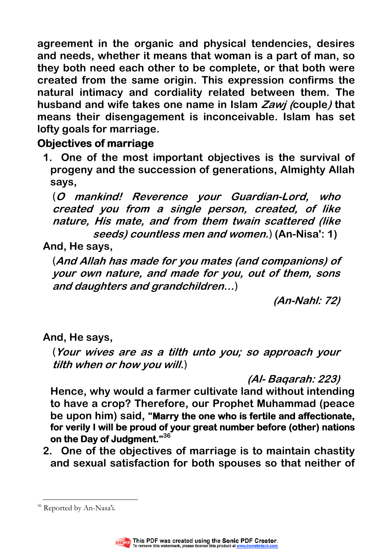**agreement in the organic and physical tendencies, desires and needs, whether it means that woman is a part of man, so they both need each other to be complete, or that both were created from the same origin. This expression confirms the natural intimacy and cordiality related between them. The husband and wife takes one name in Islam Zawj (couple) that means their disengagement is inconceivable. Islam has set lofty goals for marriage.** 

# **Objectives of marriage**

**1. One of the most important objectives is the survival of progeny and the succession of generations, Almighty Allah says,** 

(**O mankind! Reverence your Guardian-Lord, who created you from a single person, created, of like nature, His mate, and from them twain scattered (like seeds) countless men and women.**) **(An-Nisa': 1)** 

# **And, He says,**

(**And Allah has made for you mates (and companions) of your own nature, and made for you, out of them, sons and daughters and grandchildren…**)

**(An-Nahl: 72)** 

**And, He says,** 

(**Your wives are as a tilth unto you; so approach your tilth when or how you will.**)

**(Al- Baqarah: 223)** 

**Hence, why would a farmer cultivate land without intending to have a crop? Therefore, our Prophet Muhammad (peace**  be upon him) said, "Marry the one who is fertile and affectionate, **for verily I will be proud of your great number before (other) nations on the Day of Judgment." on the Judgment. <sup>36</sup>**

**2. One of the objectives of marriage is to maintain chastity and sexual satisfaction for both spouses so that neither of** 

 $\overline{a}$ <sup>36</sup> Reported by An-Nasa'i.

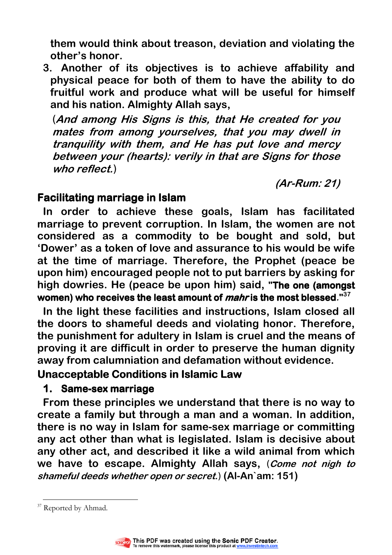**them would think about treason, deviation and violating the other's honor.** 

**3. Another of its objectives is to achieve affability and physical peace for both of them to have the ability to do fruitful work and produce what will be useful for himself and his nation. Almighty Allah says,** 

(**And among His Signs is this, that He created for you mates from among yourselves, that you may dwell in tranquility with them, and He has put love and mercy between your (hearts): verily in that are Signs for those who reflect.**)

 **(Ar-Rum: 21)** 

#### **Facilitating marriage in Islam**

**In order to achieve these goals, Islam has facilitated marriage to prevent corruption. In Islam, the women are not considered as a commodity to be bought and sold, but 'Dower' as a token of love and assurance to his would be wife at the time of marriage. Therefore, the Prophet (peace be upon him) encouraged people not to put barriers by asking for high dowries. He (peace be upon him) said, "The one (amongst The one women) who receives the least amount of women) the least amount of mahris the most blessed is the most blessed." 37**

**In the light these facilities and instructions, Islam closed all the doors to shameful deeds and violating honor. Therefore, the punishment for adultery in Islam is cruel and the means of proving it are difficult in order to preserve the human dignity away from calumniation and defamation without evidence.** 

#### **Unacceptable Conditions in Islamic Law**

#### **1. Same-sex marriage sex marriage**

**From these principles we understand that there is no way to create a family but through a man and a woman. In addition, there is no way in Islam for same-sex marriage or committing any act other than what is legislated. Islam is decisive about any other act, and described it like a wild animal from which we have to escape. Almighty Allah says,** (**Come not nigh to shameful deeds whether open or secret.**) **(Al-An`am: 151)** 

 $\overline{a}$ 



<sup>&</sup>lt;sup>37</sup> Reported by Ahmad.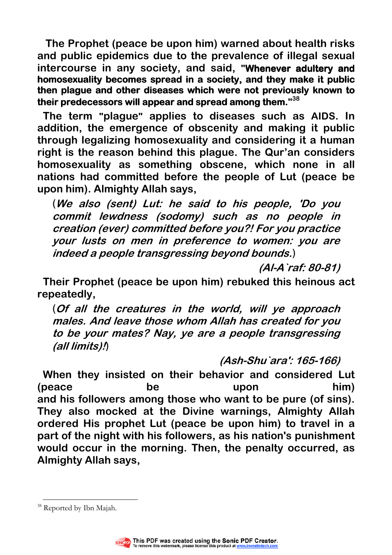**The Prophet (peace be upon him) warned about health risks and public epidemics due to the prevalence of illegal sexual**  intercourse in any society, and said, "Whenever adultery and homosexuality becomes spread in a society, and they make it public **then plague and other diseases which were not previously known to their predecessors will appear and spread among them."<sup>38</sup>**

**The term "plague" applies to diseases such as AIDS. In addition, the emergence of obscenity and making it public through legalizing homosexuality and considering it a human right is the reason behind this plague. The Qur'an considers homosexuality as something obscene, which none in all nations had committed before the people of Lut (peace be upon him). Almighty Allah says,** 

(**We also (sent) Lut: he said to his people, 'Do you commit lewdness (sodomy) such as no people in creation (ever) committed before you?! For you practice your lusts on men in preference to women: you are indeed a people transgressing beyond bounds.**)

**(Al-A`raf: 80-81)** 

**Their Prophet (peace be upon him) rebuked this heinous act repeatedly,** 

(**Of all the creatures in the world, will ye approach males. And leave those whom Allah has created for you to be your mates? Nay, ye are a people transgressing (all limits)!**)

**(Ash-Shu`ara': 165-166)** 

**When they insisted on their behavior and considered Lut (peace be upon him) and his followers among those who want to be pure (of sins). They also mocked at the Divine warnings, Almighty Allah ordered His prophet Lut (peace be upon him) to travel in a part of the night with his followers, as his nation's punishment would occur in the morning. Then, the penalty occurred, as Almighty Allah says,** 

 $\overline{a}$ 



<sup>&</sup>lt;sup>38</sup> Reported by Ibn Majah.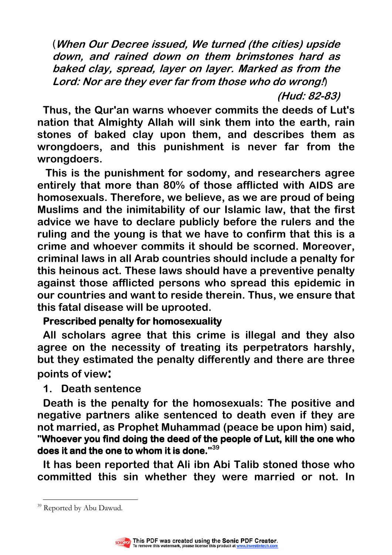(**When Our Decree issued, We turned (the cities) upside down, and rained down on them brimstones hard as baked clay, spread, layer on layer. Marked as from the Lord: Nor are they ever far from those who do wrong!**)

**(Hud: 82-83)** 

**Thus, the Qur'an warns whoever commits the deeds of Lut's nation that Almighty Allah will sink them into the earth, rain stones of baked clay upon them, and describes them as wrongdoers, and this punishment is never far from the wrongdoers.** 

 **This is the punishment for sodomy, and researchers agree entirely that more than 80% of those afflicted with AIDS are homosexuals. Therefore, we believe, as we are proud of being Muslims and the inimitability of our Islamic law, that the first advice we have to declare publicly before the rulers and the ruling and the young is that we have to confirm that this is a crime and whoever commits it should be scorned. Moreover, criminal laws in all Arab countries should include a penalty for this heinous act. These laws should have a preventive penalty against those afflicted persons who spread this epidemic in our countries and want to reside therein. Thus, we ensure that this fatal disease will be uprooted.** 

#### **Prescribed penalty for homosexuality**

**All scholars agree that this crime is illegal and they also agree on the necessity of treating its perpetrators harshly, but they estimated the penalty differently and there are three points of view:** 

#### **1. Death sentence**

**Death is the penalty for the homosexuals: The positive and negative partners alike sentenced to death even if they are not married, as Prophet Muhammad (peace be upon him) said,**  "Whoever you find doing the deed of the people of Lut, kill the one who does it and the one to whom it is done."<sup>39</sup>

**It has been reported that Ali ibn Abi Talib stoned those who committed this sin whether they were married or not. In** 

 $\overline{a}$ <sup>39</sup> Reported by Abu Dawud.

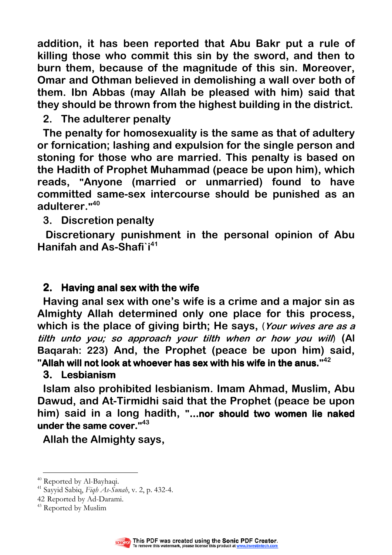**addition, it has been reported that Abu Bakr put a rule of killing those who commit this sin by the sword, and then to burn them, because of the magnitude of this sin. Moreover, Omar and Othman believed in demolishing a wall over both of them. Ibn Abbas (may Allah be pleased with him) said that they should be thrown from the highest building in the district.** 

## **2. The adulterer penalty**

**The penalty for homosexuality is the same as that of adultery or fornication; lashing and expulsion for the single person and stoning for those who are married. This penalty is based on the Hadith of Prophet Muhammad (peace be upon him), which reads, "Anyone (married or unmarried) found to have committed same-sex intercourse should be punished as an adulterer." 40**

#### **3. Discretion penalty**

 **Discretionary punishment in the personal opinion of Abu Hanifah and As-Shafi`i<sup>41</sup>**

## **2.** Having anal sex with the wife

**Having anal sex with one's wife is a crime and a major sin as Almighty Allah determined only one place for this process, which is the place of giving birth; He says,** (**Your wives are as a tilth unto you; so approach your tilth when or how you will**) **(Al Baqarah: 223) And, the Prophet (peace be upon him) said,**  "Allah will not look at whoever has sex with his wife in the anus."<sup>42</sup>

#### **3. Lesbianism**

**Islam also prohibited lesbianism. Imam Ahmad, Muslim, Abu Dawud, and At-Tirmidhi said that the Prophet (peace be upon**  him) said in a long hadith, "...nor should two women lie naked **under the same cover." under the cover. <sup>43</sup>**

**Allah the Almighty says,** 

 $\overline{a}$ 



<sup>&</sup>lt;sup>40</sup> Reported by Al-Bayhaqi.

<sup>&</sup>lt;sup>41</sup> Sayyid Sabiq, Figh As-Sunah, v. 2, p. 432-4.

<sup>42</sup> Reported by Ad-Darami.

<sup>&</sup>lt;sup>43</sup> Reported by Muslim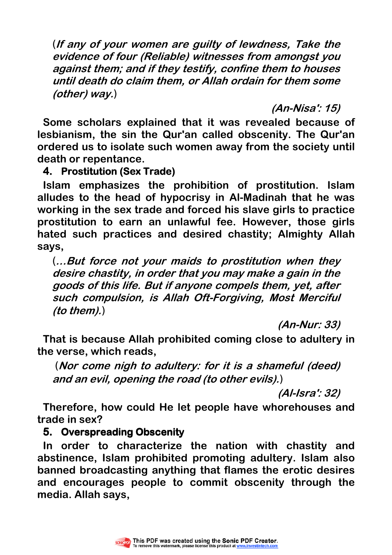(**If any of your women are guilty of lewdness, Take the evidence of four (Reliable) witnesses from amongst you against them; and if they testify, confine them to houses until death do claim them, or Allah ordain for them some (other) way.**)

**(An-Nisa': 15)** 

**Some scholars explained that it was revealed because of lesbianism, the sin the Qur'an called obscenity. The Qur'an ordered us to isolate such women away from the society until death or repentance.** 

## **4. Prostitution (Sex Trade)**

**Islam emphasizes the prohibition of prostitution. Islam alludes to the head of hypocrisy in Al-Madinah that he was working in the sex trade and forced his slave girls to practice prostitution to earn an unlawful fee. However, those girls hated such practices and desired chastity; Almighty Allah says,** 

(**…But force not your maids to prostitution when they desire chastity, in order that you may make a gain in the goods of this life. But if anyone compels them, yet, after such compulsion, is Allah Oft-Forgiving, Most Merciful (to them).**)

**(An-Nur: 33)** 

**That is because Allah prohibited coming close to adultery in the verse, which reads,** 

(**Nor come nigh to adultery: for it is a shameful (deed) and an evil, opening the road (to other evils).**)

**(Al-Isra': 32)** 

**Therefore, how could He let people have whorehouses and trade in sex?** 

#### **5. Overspreading Obscenity**

**In order to characterize the nation with chastity and abstinence, Islam prohibited promoting adultery. Islam also banned broadcasting anything that flames the erotic desires and encourages people to commit obscenity through the media. Allah says,** 

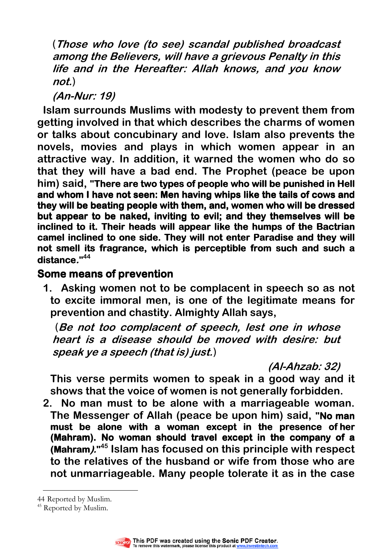(**Those who love (to see) scandal published broadcast among the Believers, will have a grievous Penalty in this life and in the Hereafter: Allah knows, and you know not.**)

**(An-Nur: 19)** 

**Islam surrounds Muslims with modesty to prevent them from getting involved in that which describes the charms of women or talks about concubinary and love. Islam also prevents the novels, movies and plays in which women appear in an attractive way. In addition, it warned the women who do so that they will have a bad end. The Prophet (peace be upon him) said. "There are two types of people who will be punished in Hell and whom I have not seen: Men having whips like the tails of cows and they will be beating people with them, and, women who will be dressed**  but appear to be naked, inviting to evil; and they themselves will be **inclined to it. Their heads will appear like the humps of the Bactrian camel inclined to one side. They will not enter Paradise and they will not smell its fragrance, which is perceptible from such and such a and a distance." 44**

## **Some means of prevention**

**1. Asking women not to be complacent in speech so as not to excite immoral men, is one of the legitimate means for prevention and chastity. Almighty Allah says,** 

(**Be not too complacent of speech, lest one in whose heart is a disease should be moved with desire: but speak ye a speech (that is) just.**)

**(Al-Ahzab: 32)** 

**This verse permits women to speak in a good way and it shows that the voice of women is not generally forbidden.** 

**2. No man must to be alone with a marriageable woman. The Messenger of Allah (peace be upon him) said, "No man must be alone with a woman except in the presence ofher (Mahram). No woman should travel except in the company of a (Mahram)." <sup>45</sup> Islam has focused on this principle with respect to the relatives of the husband or wife from those who are not unmarriageable. Many people tolerate it as in the case** 

<sup>&</sup>lt;sup>45</sup> Reported by Muslim.



 $\overline{a}$ 44 Reported by Muslim.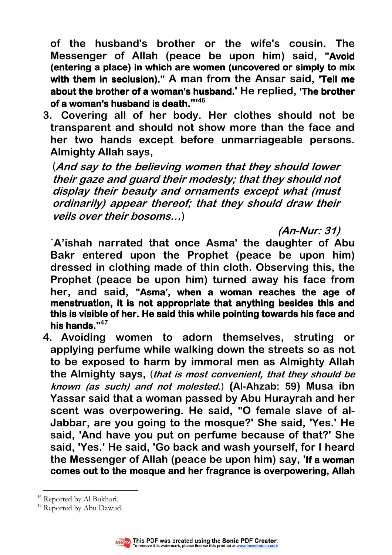**of the husband's brother or the wife's cousin. The Messenger of Allah (peace be upon him) said, "Avoid**  (entering a place) in which are women (uncovered or simply to mix with them in seclusion)." A man from the Ansar said, 'Tell me **about the brother of a woman's husband.' He replied, 'The brother of a woman's husband is death."' 46**

**3. Covering all of her body. Her clothes should not be transparent and should not show more than the face and her two hands except before unmarriageable persons. Almighty Allah says,** 

(**And say to the believing women that they should lower their gaze and guard their modesty; that they should not display their beauty and ornaments except what (must ordinarily) appear thereof; that they should draw their veils over their bosoms…**)

**(An-Nur: 31)** 

**`A'ishah narrated that once Asma' the daughter of Abu Bakr entered upon the Prophet (peace be upon him) dressed in clothing made of thin cloth. Observing this, the Prophet (peace be upon him) turned away his face from**  her, and said, "Asma', when a woman reaches the age of **menstruation, it is not appropriate that anything besides this and this is visible of her. He said this while pointing towards his face and**  his hands."<sup>47</sup>

**4. Avoiding women to adorn themselves, struting or applying perfume while walking down the streets so as not to be exposed to harm by immoral men as Almighty Allah the Almighty says,** (**that is most convenient, that they should be known (as such) and not molested.**) **(Al-Ahzab: 59) Musa ibn Yassar said that a woman passed by Abu Hurayrah and her scent was overpowering. He said, "O female slave of al-Jabbar, are you going to the mosque?' She said, 'Yes.' He said, 'And have you put on perfume because of that?' She said, 'Yes.' He said, 'Go back and wash yourself, for I heard the Messenger of Allah (peace be upon him) say, 'If a woman comes out to the mosque and her fragrance is overpowering, Allah** 

<sup>&</sup>lt;sup>47</sup> Reported by Abu Dawud.



 $\overline{a}$ <sup>46</sup> Reported by Al Bukhari.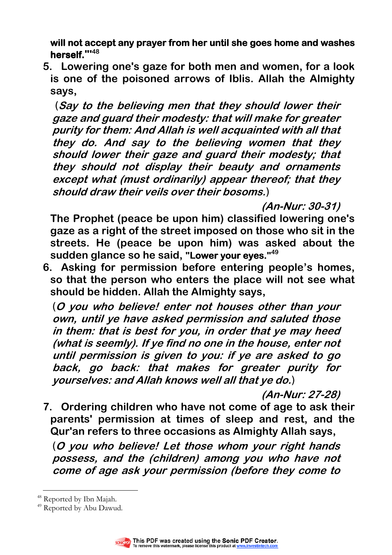will not accept any prayer from her until she goes home and washes **herself."' 48**

**5. Lowering one's gaze for both men and women, for a look is one of the poisoned arrows of Iblis. Allah the Almighty says,** 

(**Say to the believing men that they should lower their gaze and guard their modesty: that will make for greater purity for them: And Allah is well acquainted with all that they do. And say to the believing women that they should lower their gaze and guard their modesty; that they should not display their beauty and ornaments except what (must ordinarily) appear thereof; that they should draw their veils over their bosoms.**)

**(An-Nur: 30-31)** 

**The Prophet (peace be upon him) classified lowering one's gaze as a right of the street imposed on those who sit in the streets. He (peace be upon him) was asked about the sudden glance so he said, "Lower your eyes."**<sup>49</sup>

**6. Asking for permission before entering people's homes, so that the person who enters the place will not see what should be hidden. Allah the Almighty says,** 

(**O you who believe! enter not houses other than your own, until ye have asked permission and saluted those in them: that is best for you, in order that ye may heed (what is seemly). If ye find no one in the house, enter not until permission is given to you: if ye are asked to go back, go back: that makes for greater purity for yourselves: and Allah knows well all that ye do.**)

**(An-Nur: 27-28)** 

**7. Ordering children who have not come of age to ask their parents' permission at times of sleep and rest, and the Qur'an refers to three occasions as Almighty Allah says,** 

(**O you who believe! Let those whom your right hands possess, and the (children) among you who have not come of age ask your permission (before they come to** 

<sup>&</sup>lt;sup>49</sup> Reported by Abu Dawud.



 $\overline{a}$ <sup>48</sup> Reported by Ibn Majah.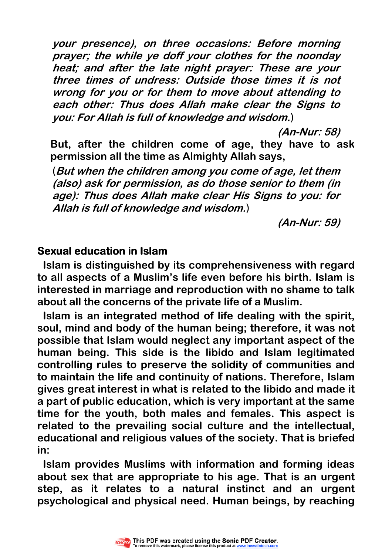**your presence), on three occasions: Before morning prayer; the while ye doff your clothes for the noonday heat; and after the late night prayer: These are your three times of undress: Outside those times it is not wrong for you or for them to move about attending to each other: Thus does Allah make clear the Signs to you: For Allah is full of knowledge and wisdom.**)

**(An-Nur: 58)** 

**But, after the children come of age, they have to ask permission all the time as Almighty Allah says,**

(**But when the children among you come of age, let them (also) ask for permission, as do those senior to them (in age): Thus does Allah make clear His Signs to you: for Allah is full of knowledge and wisdom.**)

**(An-Nur: 59)** 

#### **Sexual education in Islam**

**Islam is distinguished by its comprehensiveness with regard to all aspects of a Muslim's life even before his birth. Islam is interested in marriage and reproduction with no shame to talk about all the concerns of the private life of a Muslim.** 

**Islam is an integrated method of life dealing with the spirit, soul, mind and body of the human being; therefore, it was not possible that Islam would neglect any important aspect of the human being. This side is the libido and Islam legitimated controlling rules to preserve the solidity of communities and to maintain the life and continuity of nations. Therefore, Islam gives great interest in what is related to the libido and made it a part of public education, which is very important at the same time for the youth, both males and females. This aspect is related to the prevailing social culture and the intellectual, educational and religious values of the society. That is briefed in:** 

**Islam provides Muslims with information and forming ideas about sex that are appropriate to his age. That is an urgent step, as it relates to a natural instinct and an urgent psychological and physical need. Human beings, by reaching** 

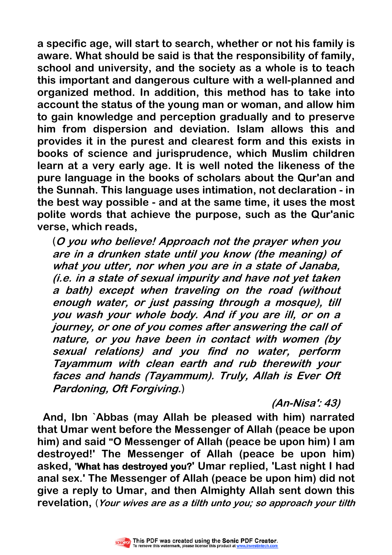**a specific age, will start to search, whether or not his family is aware. What should be said is that the responsibility of family, school and university, and the society as a whole is to teach this important and dangerous culture with a well-planned and organized method. In addition, this method has to take into account the status of the young man or woman, and allow him to gain knowledge and perception gradually and to preserve him from dispersion and deviation. Islam allows this and provides it in the purest and clearest form and this exists in books of science and jurisprudence, which Muslim children learn at a very early age. It is well noted the likeness of the pure language in the books of scholars about the Qur'an and the Sunnah. This language uses intimation, not declaration - in the best way possible - and at the same time, it uses the most polite words that achieve the purpose, such as the Qur'anic verse, which reads,**

(**O you who believe! Approach not the prayer when you are in a drunken state until you know (the meaning) of what you utter, nor when you are in a state of Janaba, (i.e. in a state of sexual impurity and have not yet taken a bath) except when traveling on the road (without enough water, or just passing through a mosque), till you wash your whole body. And if you are ill, or on a journey, or one of you comes after answering the call of nature, or you have been in contact with women (by sexual relations) and you find no water, perform Tayammum with clean earth and rub therewith your faces and hands (Tayammum). Truly, Allah is Ever Oft Pardoning, Oft Forgiving.**)

**(An-Nisa': 43)** 

**And, Ibn `Abbas (may Allah be pleased with him) narrated that Umar went before the Messenger of Allah (peace be upon him) and said "O Messenger of Allah (peace be upon him) I am destroyed!' The Messenger of Allah (peace be upon him) asked, 'What has destroyed you? What has destroyed you?' Umar replied, 'Last night I had anal sex.' The Messenger of Allah (peace be upon him) did not give a reply to Umar, and then Almighty Allah sent down this revelation,** (**Your wives are as a tilth unto you; so approach your tilth** 

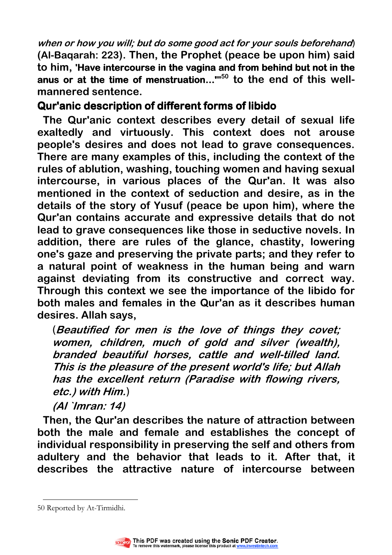**when or how you will; but do some good act for your souls beforehand**) **(Al-Baqarah: 223). Then, the Prophet (peace be upon him) said to him, 'Have intercourse in the vagina and from behind but not in the** anus or at the time of menstruation..."<sup>50</sup> to the end of this well**mannered sentence.** 

## **Qur'anic description of different forms of libido**

**The Qur'anic context describes every detail of sexual life exaltedly and virtuously. This context does not arouse people's desires and does not lead to grave consequences. There are many examples of this, including the context of the rules of ablution, washing, touching women and having sexual intercourse, in various places of the Qur'an. It was also mentioned in the context of seduction and desire, as in the details of the story of Yusuf (peace be upon him), where the Qur'an contains accurate and expressive details that do not lead to grave consequences like those in seductive novels. In addition, there are rules of the glance, chastity, lowering one's gaze and preserving the private parts; and they refer to a natural point of weakness in the human being and warn against deviating from its constructive and correct way. Through this context we see the importance of the libido for both males and females in the Qur'an as it describes human desires. Allah says,** 

(**Beautified for men is the love of things they covet; women, children, much of gold and silver (wealth), branded beautiful horses, cattle and well-tilled land. This is the pleasure of the present world's life; but Allah has the excellent return (Paradise with flowing rivers, etc.) with Him.**)

**(Al `Imran: 14)** 

**Then, the Qur'an describes the nature of attraction between both the male and female and establishes the concept of individual responsibility in preserving the self and others from adultery and the behavior that leads to it. After that, it describes the attractive nature of intercourse between** 

 $\overline{a}$ 50 Reported by At-Tirmidhi.

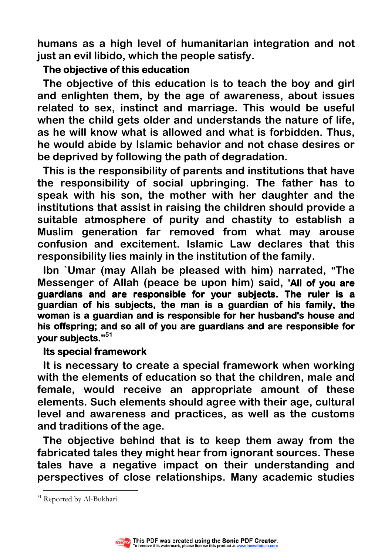**humans as a high level of humanitarian integration and not just an evil libido, which the people satisfy.** 

#### **The objective of this education**

**The objective of this education is to teach the boy and girl and enlighten them, by the age of awareness, about issues related to sex, instinct and marriage. This would be useful when the child gets older and understands the nature of life, as he will know what is allowed and what is forbidden. Thus, he would abide by Islamic behavior and not chase desires or be deprived by following the path of degradation.** 

**This is the responsibility of parents and institutions that have the responsibility of social upbringing. The father has to speak with his son, the mother with her daughter and the institutions that assist in raising the children should provide a suitable atmosphere of purity and chastity to establish a Muslim generation far removed from what may arouse confusion and excitement. Islamic Law declares that this responsibility lies mainly in the institution of the family.** 

**Ibn `Umar (may Allah be pleased with him) narrated, "The Messenger of Allah (peace be upon him) said, 'All of you are guardians and are responsible for your subjects. The ruler is a guardian of his subjects, the man is a guardian of his family, the woman is a guardian and is responsible for her husband's house and his offspring; and so all of you are guardians and are responsible for your subjects." subjects. <sup>51</sup>**

#### **Its special framework**

**It is necessary to create a special framework when working with the elements of education so that the children, male and female, would receive an appropriate amount of these elements. Such elements should agree with their age, cultural level and awareness and practices, as well as the customs and traditions of the age.** 

**The objective behind that is to keep them away from the fabricated tales they might hear from ignorant sources. These tales have a negative impact on their understanding and perspectives of close relationships. Many academic studies** 



 $\overline{a}$ <sup>51</sup> Reported by Al-Bukhari.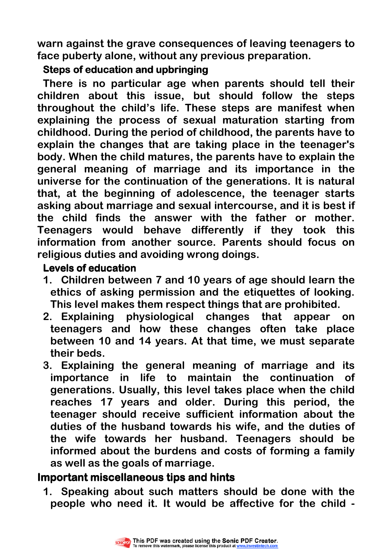**warn against the grave consequences of leaving teenagers to face puberty alone, without any previous preparation.** 

#### **Steps of education and upbringing**

**There is no particular age when parents should tell their children about this issue, but should follow the steps throughout the child's life. These steps are manifest when explaining the process of sexual maturation starting from childhood. During the period of childhood, the parents have to explain the changes that are taking place in the teenager's body. When the child matures, the parents have to explain the general meaning of marriage and its importance in the universe for the continuation of the generations. It is natural that, at the beginning of adolescence, the teenager starts asking about marriage and sexual intercourse, and it is best if the child finds the answer with the father or mother. Teenagers would behave differently if they took this information from another source. Parents should focus on religious duties and avoiding wrong doings.** 

#### **Levels of education**

- **1. Children between 7 and 10 years of age should learn the ethics of asking permission and the etiquettes of looking. This level makes them respect things that are prohibited.**
- **2. Explaining physiological changes that appear on teenagers and how these changes often take place between 10 and 14 years. At that time, we must separate their beds.**
- **3. Explaining the general meaning of marriage and its importance in life to maintain the continuation of generations. Usually, this level takes place when the child reaches 17 years and older. During this period, the teenager should receive sufficient information about the duties of the husband towards his wife, and the duties of the wife towards her husband. Teenagers should be informed about the burdens and costs of forming a family as well as the goals of marriage.**

# **Important miscellaneous tips and hints**

**1. Speaking about such matters should be done with the people who need it. It would be affective for the child -** 

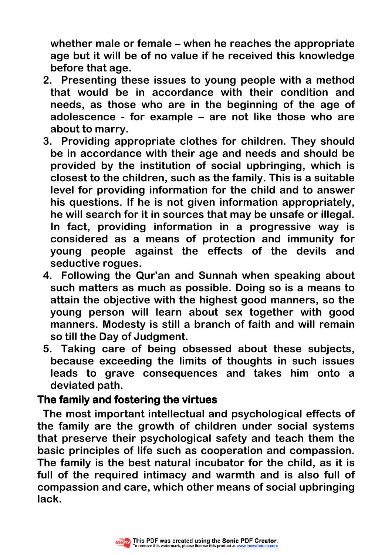**whether male or female – when he reaches the appropriate age but it will be of no value if he received this knowledge before that age.** 

- **2. Presenting these issues to young people with a method that would be in accordance with their condition and needs, as those who are in the beginning of the age of adolescence - for example – are not like those who are about to marry.**
- **3. Providing appropriate clothes for children. They should be in accordance with their age and needs and should be provided by the institution of social upbringing, which is closest to the children, such as the family. This is a suitable level for providing information for the child and to answer his questions. If he is not given information appropriately, he will search for it in sources that may be unsafe or illegal. In fact, providing information in a progressive way is considered as a means of protection and immunity for young people against the effects of the devils and seductive rogues.**
- **4. Following the Qur'an and Sunnah when speaking about such matters as much as possible. Doing so is a means to attain the objective with the highest good manners, so the young person will learn about sex together with good manners. Modesty is still a branch of faith and will remain so till the Day of Judgment.**
- **5. Taking care of being obsessed about these subjects, because exceeding the limits of thoughts in such issues leads to grave consequences and takes him onto a deviated path.**

## **The family and fostering the virtues family and fostering the virtues**

**The most important intellectual and psychological effects of the family are the growth of children under social systems that preserve their psychological safety and teach them the basic principles of life such as cooperation and compassion. The family is the best natural incubator for the child, as it is full of the required intimacy and warmth and is also full of compassion and care, which other means of social upbringing lack.** 

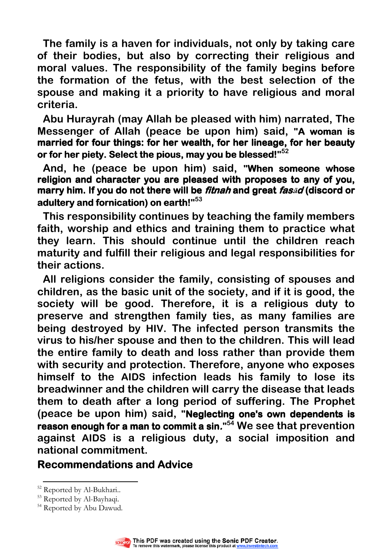**The family is a haven for individuals, not only by taking care of their bodies, but also by correcting their religious and moral values. The responsibility of the family begins before the formation of the fetus, with the best selection of the spouse and making it a priority to have religious and moral criteria.** 

**Abu Hurayrah (may Allah be pleased with him) narrated, The Messenger of Allah (peace be upon him) said, "A woman is married for four things: for her wealth, for her lineage, for her beauty or for her piety. Select the pious, may you be blessed!"**<sup>52</sup>

And, he (peace be upon him) said, "When someone whose **religion and character you are pleased with proposes to any of you, marry him. If you do not there will be** *fitnah* **and great** *fas***<sup>a</sup>d (discord or adultery and fornication) on earth!" earth! <sup>53</sup>** 

**This responsibility continues by teaching the family members faith, worship and ethics and training them to practice what they learn. This should continue until the children reach maturity and fulfill their religious and legal responsibilities for their actions.** 

**All religions consider the family, consisting of spouses and children, as the basic unit of the society, and if it is good, the society will be good. Therefore, it is a religious duty to preserve and strengthen family ties, as many families are being destroyed by HIV. The infected person transmits the virus to his/her spouse and then to the children. This will lead the entire family to death and loss rather than provide them with security and protection. Therefore, anyone who exposes himself to the AIDS infection leads his family to lose its breadwinner and the children will carry the disease that leads them to death after a long period of suffering. The Prophet**  (peace be upon him) said, "Neglecting one's own dependents is **reason enough for a man to commit a sin." <sup>54</sup> We see that prevention against AIDS is a religious duty, a social imposition and national commitment.** 

#### **Recommendations and Advice**

<sup>&</sup>lt;sup>54</sup> Reported by Abu Dawud.



 $\overline{a}$ <sup>52</sup> Reported by Al-Bukhari..

<sup>&</sup>lt;sup>53</sup> Reported by Al-Bayhaqi.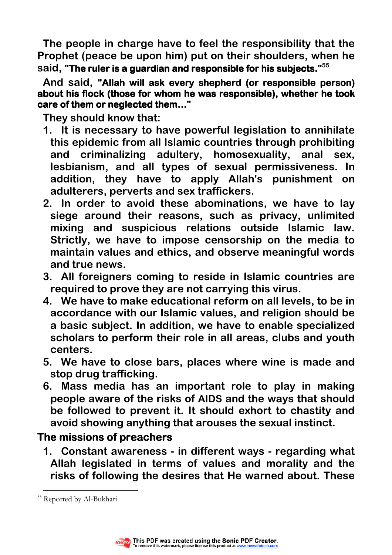**The people in charge have to feel the responsibility that the Prophet (peace be upon him) put on their shoulders, when he said, "The ruler is a guardian and responsible for his subjects."<sup>55</sup>**

And said, "Allah will ask every shepherd (or responsible person) about his flock (those for whom he was responsible), whether he took **care of them or neglected them…"** 

**They should know that:** 

- **1. It is necessary to have powerful legislation to annihilate this epidemic from all Islamic countries through prohibiting and criminalizing adultery, homosexuality, anal sex, lesbianism, and all types of sexual permissiveness. In addition, they have to apply Allah's punishment on adulterers, perverts and sex traffickers.**
- **2. In order to avoid these abominations, we have to lay siege around their reasons, such as privacy, unlimited mixing and suspicious relations outside Islamic law. Strictly, we have to impose censorship on the media to maintain values and ethics, and observe meaningful words and true news.**
- **3. All foreigners coming to reside in Islamic countries are required to prove they are not carrying this virus.**
- **4. We have to make educational reform on all levels, to be in accordance with our Islamic values, and religion should be a basic subject. In addition, we have to enable specialized scholars to perform their role in all areas, clubs and youth centers.**
- **5. We have to close bars, places where wine is made and stop drug trafficking.**
- **6. Mass media has an important role to play in making people aware of the risks of AIDS and the ways that should be followed to prevent it. It should exhort to chastity and avoid showing anything that arouses the sexual instinct.**

# **The missions of preachers**

**1. Constant awareness - in different ways - regarding what Allah legislated in terms of values and morality and the risks of following the desires that He warned about. These** 



 $\overline{a}$ <sup>55</sup> Reported by Al-Bukhari.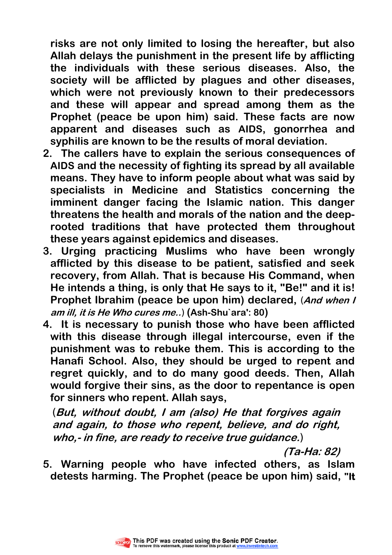**risks are not only limited to losing the hereafter, but also Allah delays the punishment in the present life by afflicting the individuals with these serious diseases. Also, the society will be afflicted by plagues and other diseases, which were not previously known to their predecessors and these will appear and spread among them as the Prophet (peace be upon him) said. These facts are now apparent and diseases such as AIDS, gonorrhea and syphilis are known to be the results of moral deviation.** 

- **2. The callers have to explain the serious consequences of AIDS and the necessity of fighting its spread by all available means. They have to inform people about what was said by specialists in Medicine and Statistics concerning the imminent danger facing the Islamic nation. This danger threatens the health and morals of the nation and the deeprooted traditions that have protected them throughout these years against epidemics and diseases.**
- **3. Urging practicing Muslims who have been wrongly afflicted by this disease to be patient, satisfied and seek recovery, from Allah. That is because His Command, when He intends a thing, is only that He says to it, "Be!" and it is! Prophet Ibrahim (peace be upon him) declared,** (**And when I am ill, it is He Who cures me..**) **(Ash-Shu`ara': 80)**
- **4. It is necessary to punish those who have been afflicted with this disease through illegal intercourse, even if the punishment was to rebuke them. This is according to the Hanafi School. Also, they should be urged to repent and regret quickly, and to do many good deeds. Then, Allah would forgive their sins, as the door to repentance is open for sinners who repent. Allah says,**

(**But, without doubt, I am (also) He that forgives again and again, to those who repent, believe, and do right, who,- in fine, are ready to receive true guidance.**)

**(Ta-Ha: 82)** 

**5. Warning people who have infected others, as Islam detests harming. The Prophet (peace be upon him) said, "It** 

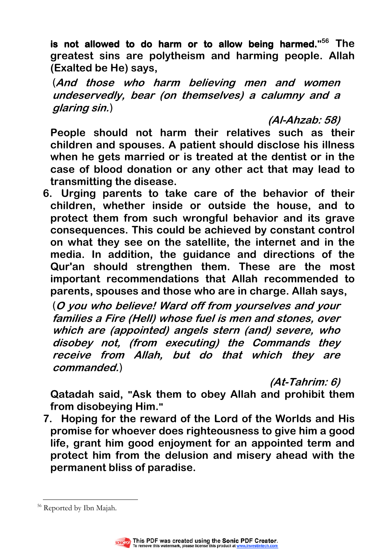**is not allowed to do harm or to allow being harmed." <sup>56</sup> The greatest sins are polytheism and harming people. Allah (Exalted be He) says,** 

(**And those who harm believing men and women undeservedly, bear (on themselves) a calumny and a glaring sin.**)

**(Al-Ahzab: 58)** 

**People should not harm their relatives such as their children and spouses. A patient should disclose his illness when he gets married or is treated at the dentist or in the case of blood donation or any other act that may lead to transmitting the disease.** 

**6. Urging parents to take care of the behavior of their children, whether inside or outside the house, and to protect them from such wrongful behavior and its grave consequences. This could be achieved by constant control on what they see on the satellite, the internet and in the media. In addition, the guidance and directions of the Qur'an should strengthen them. These are the most important recommendations that Allah recommended to parents, spouses and those who are in charge. Allah says,** 

(**O you who believe! Ward off from yourselves and your families a Fire (Hell) whose fuel is men and stones, over which are (appointed) angels stern (and) severe, who disobey not, (from executing) the Commands they receive from Allah, but do that which they are commanded.**)

**(At-Tahrim: 6)** 

**Qatadah said, "Ask them to obey Allah and prohibit them from disobeying Him."**

**7. Hoping for the reward of the Lord of the Worlds and His promise for whoever does righteousness to give him a good life, grant him good enjoyment for an appointed term and protect him from the delusion and misery ahead with the permanent bliss of paradise.** 

 $\overline{a}$ <sup>56</sup> Reported by Ibn Majah.

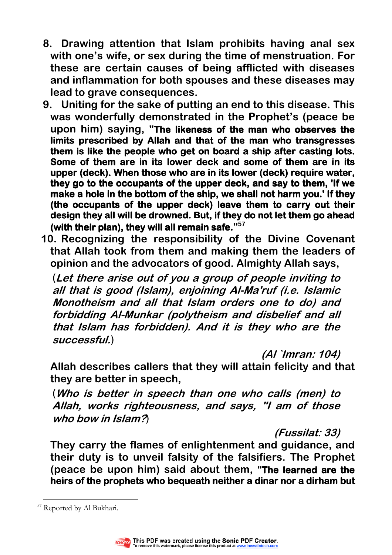- **8. Drawing attention that Islam prohibits having anal sex with one's wife, or sex during the time of menstruation. For these are certain causes of being afflicted with diseases and inflammation for both spouses and these diseases may lead to grave consequences.**
- **9. Uniting for the sake of putting an end to this disease. This was wonderfully demonstrated in the Prophet's (peace be upon him) saying, "The likeness of the man who observes the limits prescribed by Allah and that of the man who transgresses**  them is like the people who get on board a ship after casting lots. **Some of them are in its lower deck and some of them are in its upper (deck). When those who are in its lower (deck) require water, they go to the occupants of the upper deck, and say to them, 'If we make a hole in the bottom of the ship, we shall not harm you.' If they (the occupants of the upper deck) leave them to carry out their design they all will be drowned. But, if they do not let them go ahead (with their plan), they will all remain safe." 57**
- **10. Recognizing the responsibility of the Divine Covenant that Allah took from them and making them the leaders of opinion and the advocators of good. Almighty Allah says,**

(**Let there arise out of you a group of people inviting to all that is good (Islam), enjoining Al-Ma'ruf (i.e. Islamic Monotheism and all that Islam orders one to do) and forbidding Al-Munkar (polytheism and disbelief and all that Islam has forbidden). And it is they who are the successful.**)

**(Al `Imran: 104)** 

**Allah describes callers that they will attain felicity and that they are better in speech,** 

(**Who is better in speech than one who calls (men) to Allah, works righteousness, and says, "I am of those who bow in Islam?**)

**(Fussilat: 33)** 

**They carry the flames of enlightenment and guidance, and their duty is to unveil falsity of the falsifiers. The Prophet**  (peace be upon him) said about them, "The learned are the **heirs of the prophets who bequeath neither a dinar nor a dirham but** 

 $\overline{a}$ <sup>57</sup> Reported by Al Bukhari.

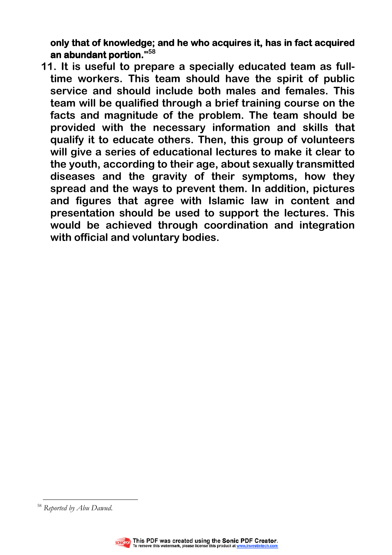**only that of knowledge; and he who acquires it, has in fact acquired fact acquired an abundant portion." an portion. <sup>58</sup>**

**11. It is useful to prepare a specially educated team as fulltime workers. This team should have the spirit of public service and should include both males and females. This team will be qualified through a brief training course on the facts and magnitude of the problem. The team should be provided with the necessary information and skills that qualify it to educate others. Then, this group of volunteers will give a series of educational lectures to make it clear to the youth, according to their age, about sexually transmitted diseases and the gravity of their symptoms, how they spread and the ways to prevent them. In addition, pictures and figures that agree with Islamic law in content and presentation should be used to support the lectures. This would be achieved through coordination and integration with official and voluntary bodies.** 

 $\overline{a}$ <sup>58</sup> Reported by Abu Dawud.

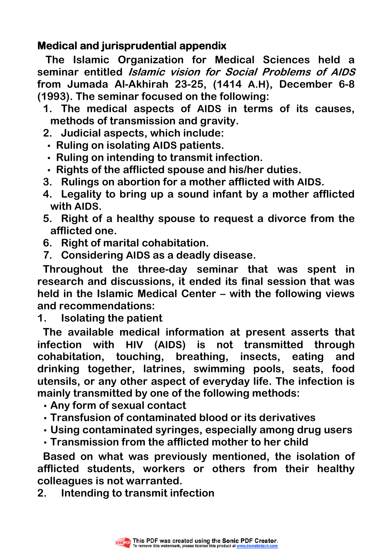## **Medical and jurisprudential appendix**

 **The Islamic Organization for Medical Sciences held a seminar entitled Islamic vision for Social Problems of AIDS from Jumada Al-Akhirah 23-25, (1414 A.H), December 6-8 (1993). The seminar focused on the following:** 

- **1. The medical aspects of AIDS in terms of its causes, methods of transmission and gravity.**
- **2. Judicial aspects, which include:**
- **Ruling on isolating AIDS patients.**
- **Ruling on intending to transmit infection.**
- **Rights of the afflicted spouse and his/her duties.**
- **3. Rulings on abortion for a mother afflicted with AIDS.**
- **4. Legality to bring up a sound infant by a mother afflicted with AIDS.**
- **5. Right of a healthy spouse to request a divorce from the afflicted one.**
- **6. Right of marital cohabitation.**
- **7. Considering AIDS as a deadly disease.**

**Throughout the three-day seminar that was spent in research and discussions, it ended its final session that was held in the Islamic Medical Center – with the following views and recommendations:** 

**1. Isolating the patient** 

**The available medical information at present asserts that infection with HIV (AIDS) is not transmitted through cohabitation, touching, breathing, insects, eating and drinking together, latrines, swimming pools, seats, food utensils, or any other aspect of everyday life. The infection is mainly transmitted by one of the following methods:**

- **Any form of sexual contact**
- **Transfusion of contaminated blood or its derivatives**
- **Using contaminated syringes, especially among drug users**
- **Transmission from the afflicted mother to her child**

**Based on what was previously mentioned, the isolation of afflicted students, workers or others from their healthy colleagues is not warranted.** 

**2. Intending to transmit infection** 

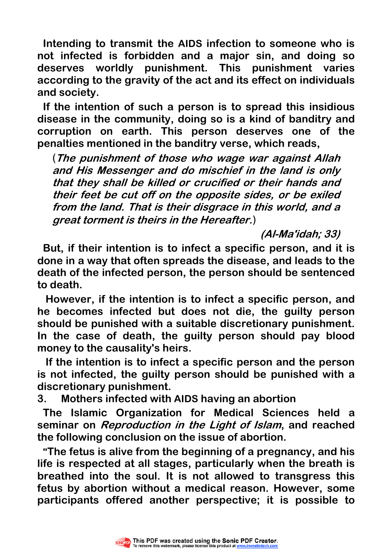**Intending to transmit the AIDS infection to someone who is not infected is forbidden and a major sin, and doing so deserves worldly punishment. This punishment varies according to the gravity of the act and its effect on individuals and society.** 

**If the intention of such a person is to spread this insidious disease in the community, doing so is a kind of banditry and corruption on earth. This person deserves one of the penalties mentioned in the banditry verse, which reads,** 

(**The punishment of those who wage war against Allah and His Messenger and do mischief in the land is only that they shall be killed or crucified or their hands and their feet be cut off on the opposite sides, or be exiled from the land. That is their disgrace in this world, and a great torment is theirs in the Hereafter.**)

**(Al-Ma'idah; 33)** 

**But, if their intention is to infect a specific person, and it is done in a way that often spreads the disease, and leads to the death of the infected person, the person should be sentenced to death.** 

 **However, if the intention is to infect a specific person, and he becomes infected but does not die, the guilty person should be punished with a suitable discretionary punishment. In the case of death, the guilty person should pay blood money to the causality's heirs.** 

 **If the intention is to infect a specific person and the person is not infected, the guilty person should be punished with a discretionary punishment.** 

**3. Mothers infected with AIDS having an abortion** 

**The Islamic Organization for Medical Sciences held a seminar on Reproduction in the Light of Islam, and reached the following conclusion on the issue of abortion.** 

**"The fetus is alive from the beginning of a pregnancy, and his life is respected at all stages, particularly when the breath is breathed into the soul. It is not allowed to transgress this fetus by abortion without a medical reason. However, some participants offered another perspective; it is possible to** 

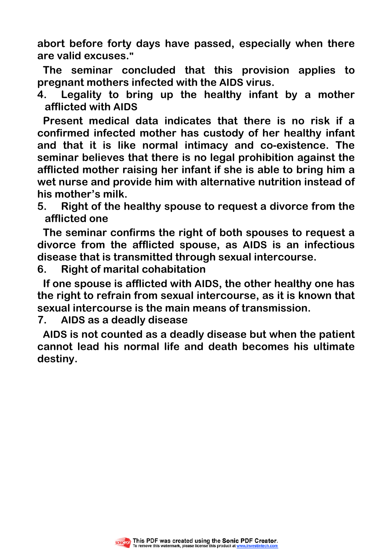**abort before forty days have passed, especially when there are valid excuses."**

**The seminar concluded that this provision applies to pregnant mothers infected with the AIDS virus.** 

**4. Legality to bring up the healthy infant by a mother afflicted with AIDS**

**Present medical data indicates that there is no risk if a confirmed infected mother has custody of her healthy infant and that it is like normal intimacy and co-existence. The seminar believes that there is no legal prohibition against the afflicted mother raising her infant if she is able to bring him a wet nurse and provide him with alternative nutrition instead of his mother's milk.** 

**5. Right of the healthy spouse to request a divorce from the afflicted one** 

**The seminar confirms the right of both spouses to request a divorce from the afflicted spouse, as AIDS is an infectious disease that is transmitted through sexual intercourse.** 

**6. Right of marital cohabitation** 

**If one spouse is afflicted with AIDS, the other healthy one has the right to refrain from sexual intercourse, as it is known that sexual intercourse is the main means of transmission.** 

**7. AIDS as a deadly disease** 

**AIDS is not counted as a deadly disease but when the patient cannot lead his normal life and death becomes his ultimate destiny.** 

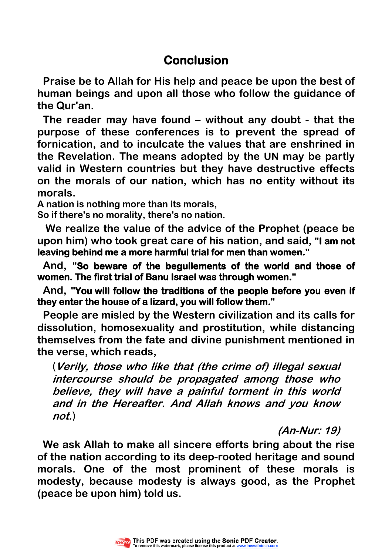# **Conclusion**

**Praise be to Allah for His help and peace be upon the best of human beings and upon all those who follow the guidance of the Qur'an.** 

**The reader may have found – without any doubt - that the purpose of these conferences is to prevent the spread of fornication, and to inculcate the values that are enshrined in the Revelation. The means adopted by the UN may be partly valid in Western countries but they have destructive effects on the morals of our nation, which has no entity without its morals.** 

**A nation is nothing more than its morals,** 

**So if there's no morality, there's no nation.**

 **We realize the value of the advice of the Prophet (peace be**  upon him) who took great care of his nation, and said, "I am not **leaving behind me a more harmful trial for men than women."** 

And, "So beware of the beguilements of the world and those of **women. The first trial of Banu Israel was through women."** 

**And, "You will follow the traditions of the people before you even if they enter the house of a lizard, you will follow them." house of them.**

**People are misled by the Western civilization and its calls for dissolution, homosexuality and prostitution, while distancing themselves from the fate and divine punishment mentioned in the verse, which reads,** 

(**Verily, those who like that (the crime of) illegal sexual intercourse should be propagated among those who believe, they will have a painful torment in this world and in the Hereafter. And Allah knows and you know not.**)

**(An-Nur: 19)** 

**We ask Allah to make all sincere efforts bring about the rise of the nation according to its deep-rooted heritage and sound morals. One of the most prominent of these morals is modesty, because modesty is always good, as the Prophet (peace be upon him) told us.**